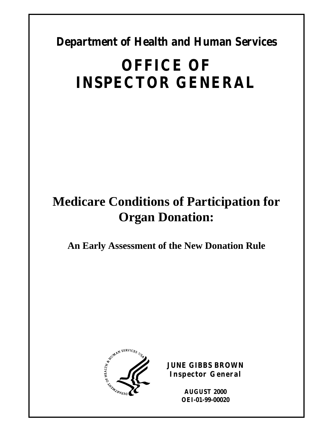**Department of Health and Human Services** 

# **OFFICE OF INSPECTOR GENERAL**

# **Medicare Conditions of Participation for Organ Donation:**

**An Early Assessment of the New Donation Rule** 



**JUNE GIBBS BROWN Inspector General** 

> **AUGUST 2000 OEI-01-99-00020**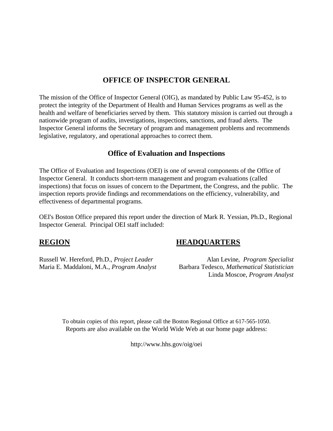### **OFFICE OF INSPECTOR GENERAL**

The mission of the Office of Inspector General (OIG), as mandated by Public Law 95-452, is to protect the integrity of the Department of Health and Human Services programs as well as the health and welfare of beneficiaries served by them. This statutory mission is carried out through a nationwide program of audits, investigations, inspections, sanctions, and fraud alerts. The Inspector General informs the Secretary of program and management problems and recommends legislative, regulatory, and operational approaches to correct them.

#### **Office of Evaluation and Inspections**

The Office of Evaluation and Inspections (OEI) is one of several components of the Office of Inspector General. It conducts short-term management and program evaluations (called inspections) that focus on issues of concern to the Department, the Congress, and the public. The inspection reports provide findings and recommendations on the efficiency, vulnerability, and effectiveness of departmental programs.

OEI's Boston Office prepared this report under the direction of Mark R. Yessian, Ph.D., Regional Inspector General. Principal OEI staff included:

#### **REGION**

Russell W. Hereford, Ph.D., *Project Leader*  Maria E. Maddaloni, M.A., *Program Analyst* 

### **HEADQUARTERS**

Alan Levine, *Program Specialist* Barbara Tedesco, *Mathematical Statistician* Linda Moscoe, *Program Analyst*

To obtain copies of this report, please call the Boston Regional Office at 617-565-1050. Reports are also available on the World Wide Web at our home page address:

http://www.hhs.gov/oig/oei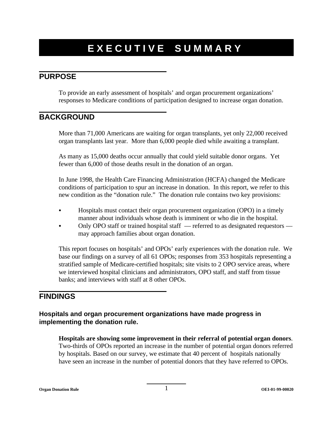# **EXECUTIVE SUMMARY**

#### **PURPOSE**

To provide an early assessment of hospitals' and organ procurement organizations' responses to Medicare conditions of participation designed to increase organ donation.

#### **BACKGROUND**

More than 71,000 Americans are waiting for organ transplants, yet only 22,000 received organ transplants last year. More than 6,000 people died while awaiting a transplant.

As many as 15,000 deaths occur annually that could yield suitable donor organs. Yet fewer than 6,000 of those deaths result in the donation of an organ.

In June 1998, the Health Care Financing Administration (HCFA) changed the Medicare conditions of participation to spur an increase in donation. In this report, we refer to this new condition as the "donation rule." The donation rule contains two key provisions:

- Hospitals must contact their organ procurement organization (OPO) in a timely manner about individuals whose death is imminent or who die in the hospital.
- Only OPO staff or trained hospital staff referred to as designated requestors may approach families about organ donation.

This report focuses on hospitals' and OPOs' early experiences with the donation rule. We base our findings on a survey of all 61 OPOs; responses from 353 hospitals representing a stratified sample of Medicare-certified hospitals; site visits to 2 OPO service areas, where we interviewed hospital clinicians and administrators, OPO staff, and staff from tissue banks; and interviews with staff at 8 other OPOs.

## **FINDINGS**

#### **Hospitals and organ procurement organizations have made progress in implementing the donation rule.**

**Hospitals are showing some improvement in their referral of potential organ donors**. Two-thirds of OPOs reported an increase in the number of potential organ donors referred by hospitals. Based on our survey, we estimate that 40 percent of hospitals nationally have seen an increase in the number of potential donors that they have referred to OPOs.

**Organ Donation Rule 1 OEI-01-99-00020 1**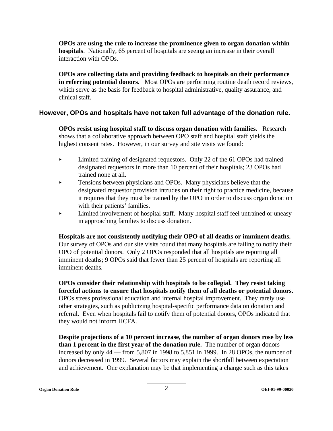**OPOs are using the rule to increase the prominence given to organ donation within hospitals**. Nationally, 65 percent of hospitals are seeing an increase in their overall interaction with OPOs.

**OPOs are collecting data and providing feedback to hospitals on their performance in referring potential donors.** Most OPOs are performing routine death record reviews, which serve as the basis for feedback to hospital administrative, quality assurance, and clinical staff.

#### **However, OPOs and hospitals have not taken full advantage of the donation rule.**

**OPOs resist using hospital staff to discuss organ donation with families.** Research shows that a collaborative approach between OPO staff and hospital staff yields the highest consent rates. However, in our survey and site visits we found:

- Limited training of designated requestors. Only 22 of the 61 OPOs had trained designated requestors in more than 10 percent of their hospitals; 23 OPOs had trained none at all.
- **EXECUTE:** Tensions between physicians and OPOs. Many physicians believe that the designated requestor provision intrudes on their right to practice medicine, because it requires that they must be trained by the OPO in order to discuss organ donation with their patients' families.
- < Limited involvement of hospital staff. Many hospital staff feel untrained or uneasy in approaching families to discuss donation.

**Hospitals are not consistently notifying their OPO of all deaths or imminent deaths.**  Our survey of OPOs and our site visits found that many hospitals are failing to notify their OPO of potential donors. Only 2 OPOs responded that all hospitals are reporting all imminent deaths; 9 OPOs said that fewer than 25 percent of hospitals are reporting all imminent deaths.

**OPOs consider their relationship with hospitals to be collegial. They resist taking forceful actions to ensure that hospitals notify them of all deaths or potential donors.**  OPOs stress professional education and internal hospital improvement. They rarely use other strategies, such as publicizing hospital-specific performance data on donation and referral. Even when hospitals fail to notify them of potential donors, OPOs indicated that they would not inform HCFA.

**Despite projections of a 10 percent increase, the number of organ donors rose by less than 1 percent in the first year of the donation rule.** The number of organ donors increased by only 44 — from 5,807 in 1998 to 5,851 in 1999. In 28 OPOs, the number of donors decreased in 1999. Several factors may explain the shortfall between expectation and achievement. One explanation may be that implementing a change such as this takes

**Organ Donation Rule** 2 **OEI-01-99-00020**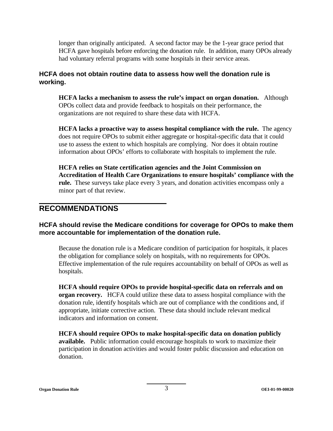longer than originally anticipated. A second factor may be the 1-year grace period that HCFA gave hospitals before enforcing the donation rule. In addition, many OPOs already had voluntary referral programs with some hospitals in their service areas.

#### **HCFA does not obtain routine data to assess how well the donation rule is working.**

**HCFA lacks a mechanism to assess the rule's impact on organ donation.** Although OPOs collect data and provide feedback to hospitals on their performance, the organizations are not required to share these data with HCFA.

**HCFA lacks a proactive way to assess hospital compliance with the rule.** The agency does not require OPOs to submit either aggregate or hospital-specific data that it could use to assess the extent to which hospitals are complying. Nor does it obtain routine information about OPOs' efforts to collaborate with hospitals to implement the rule.

**HCFA relies on State certification agencies and the Joint Commission on Accreditation of Health Care Organizations to ensure hospitals' compliance with the rule.** These surveys take place every 3 years, and donation activities encompass only a minor part of that review.

### **RECOMMENDATIONS**

#### **HCFA should revise the Medicare conditions for coverage for OPOs to make them more accountable for implementation of the donation rule.**

Because the donation rule is a Medicare condition of participation for hospitals, it places the obligation for compliance solely on hospitals, with no requirements for OPOs. Effective implementation of the rule requires accountability on behalf of OPOs as well as hospitals.

**HCFA should require OPOs to provide hospital-specific data on referrals and on organ recovery.** HCFA could utilize these data to assess hospital compliance with the donation rule, identify hospitals which are out of compliance with the conditions and, if appropriate, initiate corrective action. These data should include relevant medical indicators and information on consent.

**HCFA should require OPOs to make hospital-specific data on donation publicly available.** Public information could encourage hospitals to work to maximize their participation in donation activities and would foster public discussion and education on donation.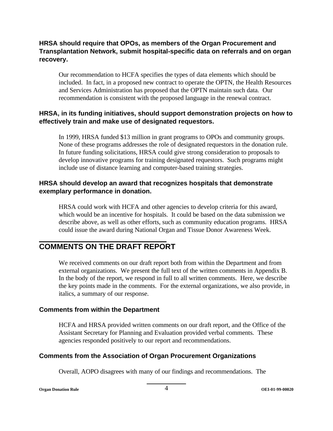#### **HRSA should require that OPOs, as members of the Organ Procurement and Transplantation Network, submit hospital-specific data on referrals and on organ recovery.**

Our recommendation to HCFA specifies the types of data elements which should be included. In fact, in a proposed new contract to operate the OPTN, the Health Resources and Services Administration has proposed that the OPTN maintain such data. Our recommendation is consistent with the proposed language in the renewal contract.

#### **HRSA, in its funding initiatives, should support demonstration projects on how to effectively train and make use of designated requestors.**

In 1999, HRSA funded \$13 million in grant programs to OPOs and community groups. None of these programs addresses the role of designated requestors in the donation rule. In future funding solicitations, HRSA could give strong consideration to proposals to develop innovative programs for training designated requestors. Such programs might include use of distance learning and computer-based training strategies.

#### **HRSA should develop an award that recognizes hospitals that demonstrate exemplary performance in donation.**

HRSA could work with HCFA and other agencies to develop criteria for this award, which would be an incentive for hospitals. It could be based on the data submission we describe above, as well as other efforts, such as community education programs. HRSA could issue the award during National Organ and Tissue Donor Awareness Week.

## **COMMENTS ON THE DRAFT REPORT**

We received comments on our draft report both from within the Department and from external organizations. We present the full text of the written comments in Appendix B. In the body of the report, we respond in full to all written comments. Here, we describe the key points made in the comments. For the external organizations, we also provide, in italics, a summary of our response.

#### **Comments from within the Department**

HCFA and HRSA provided written comments on our draft report, and the Office of the Assistant Secretary for Planning and Evaluation provided verbal comments. These agencies responded positively to our report and recommendations.

#### **Comments from the Association of Organ Procurement Organizations**

Overall, AOPO disagrees with many of our findings and recommendations. The

**Organ Donation Rule** 4 **OEI-01-99-00020**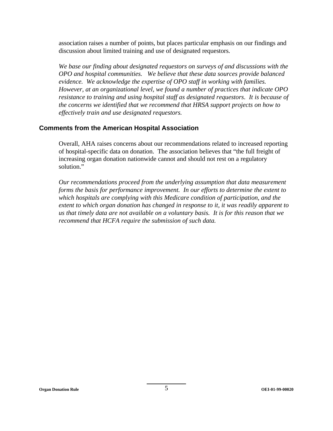association raises a number of points, but places particular emphasis on our findings and discussion about limited training and use of designated requestors.

*We base our finding about designated requestors on surveys of and discussions with the OPO and hospital communities. We believe that these data sources provide balanced evidence. We acknowledge the expertise of OPO staff in working with families. However, at an organizational level, we found a number of practices that indicate OPO resistance to training and using hospital staff as designated requestors*. *It is because of the concerns we identified that we recommend that HRSA support projects on how to effectively train and use designated requestors.* 

#### **Comments from the American Hospital Association**

Overall, AHA raises concerns about our recommendations related to increased reporting of hospital-specific data on donation. The association believes that "the full freight of increasing organ donation nationwide cannot and should not rest on a regulatory solution."

*Our recommendations proceed from the underlying assumption that data measurement forms the basis for performance improvement. In our efforts to determine the extent to which hospitals are complying with this Medicare condition of participation, and the extent to which organ donation has changed in response to it, it was readily apparent to us that timely data are not available on a voluntary basis. It is for this reason that we recommend that HCFA require the submission of such data.*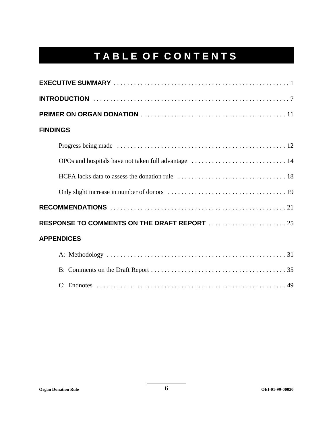# **TABLE OF CONTENTS**

| <b>FINDINGS</b>                              |
|----------------------------------------------|
|                                              |
|                                              |
|                                              |
|                                              |
|                                              |
| RESPONSE TO COMMENTS ON THE DRAFT REPORT  25 |
| <b>APPENDICES</b>                            |
|                                              |
|                                              |
|                                              |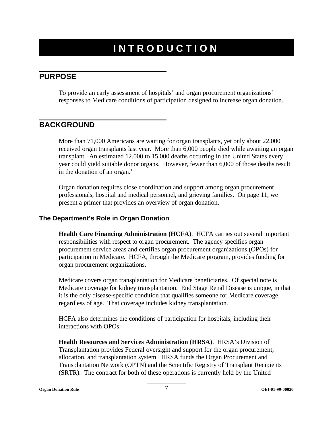# **INTRODUCTION**

#### **PURPOSE**

To provide an early assessment of hospitals' and organ procurement organizations' responses to Medicare conditions of participation designed to increase organ donation.

### **BACKGROUND**

More than 71,000 Americans are waiting for organ transplants, yet only about 22,000 received organ transplants last year. More than 6,000 people died while awaiting an organ transplant. An estimated 12,000 to 15,000 deaths occurring in the United States every year could yield suitable donor organs. However, fewer than 6,000 of those deaths result in the donation of an organ. $<sup>1</sup>$ </sup>

Organ donation requires close coordination and support among organ procurement professionals, hospital and medical personnel, and grieving families. On page 11, we present a primer that provides an overview of organ donation.

#### **The Department's Role in Organ Donation**

**Health Care Financing Administration (HCFA)**. HCFA carries out several important responsibilities with respect to organ procurement. The agency specifies organ procurement service areas and certifies organ procurement organizations (OPOs) for participation in Medicare. HCFA, through the Medicare program, provides funding for organ procurement organizations.

Medicare covers organ transplantation for Medicare beneficiaries. Of special note is Medicare coverage for kidney transplantation. End Stage Renal Disease is unique, in that it is the only disease-specific condition that qualifies someone for Medicare coverage, regardless of age. That coverage includes kidney transplantation.

HCFA also determines the conditions of participation for hospitals, including their interactions with OPOs.

**Health Resources and Services Administration (HRSA)**. HRSA's Division of Transplantation provides Federal oversight and support for the organ procurement, allocation, and transplantation system. HRSA funds the Organ Procurement and Transplantation Network (OPTN) and the Scientific Registry of Transplant Recipients (SRTR). The contract for both of these operations is currently held by the United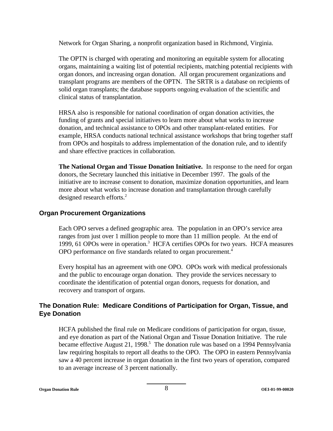Network for Organ Sharing, a nonprofit organization based in Richmond, Virginia.

The OPTN is charged with operating and monitoring an equitable system for allocating organs, maintaining a waiting list of potential recipients, matching potential recipients with organ donors, and increasing organ donation. All organ procurement organizations and transplant programs are members of the OPTN. The SRTR is a database on recipients of solid organ transplants; the database supports ongoing evaluation of the scientific and clinical status of transplantation.

HRSA also is responsible for national coordination of organ donation activities, the funding of grants and special initiatives to learn more about what works to increase donation, and technical assistance to OPOs and other transplant-related entities. For example, HRSA conducts national technical assistance workshops that bring together staff from OPOs and hospitals to address implementation of the donation rule, and to identify and share effective practices in collaboration.

**The National Organ and Tissue Donation Initiative.** In response to the need for organ donors, the Secretary launched this initiative in December 1997. The goals of the initiative are to increase consent to donation, maximize donation opportunities, and learn more about what works to increase donation and transplantation through carefully designed research efforts.<sup>2</sup>

#### **Organ Procurement Organizations**

Each OPO serves a defined geographic area. The population in an OPO's service area ranges from just over 1 million people to more than 11 million people. At the end of 1999, 61 OPOs were in operation.3 HCFA certifies OPOs for two years. HCFA measures OPO performance on five standards related to organ procurement.<sup>4</sup>

Every hospital has an agreement with one OPO. OPOs work with medical professionals and the public to encourage organ donation. They provide the services necessary to coordinate the identification of potential organ donors, requests for donation, and recovery and transport of organs.

#### **The Donation Rule: Medicare Conditions of Participation for Organ, Tissue, and Eye Donation**

HCFA published the final rule on Medicare conditions of participation for organ, tissue, and eye donation as part of the National Organ and Tissue Donation Initiative. The rule became effective August 21, 1998.<sup>5</sup> The donation rule was based on a 1994 Pennsylvania law requiring hospitals to report all deaths to the OPO. The OPO in eastern Pennsylvania saw a 40 percent increase in organ donation in the first two years of operation, compared to an average increase of 3 percent nationally.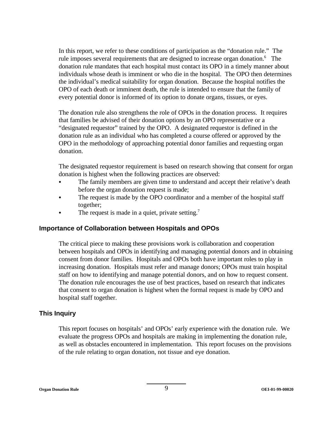In this report, we refer to these conditions of participation as the "donation rule." The rule imposes several requirements that are designed to increase organ donation.<sup>6</sup> The donation rule mandates that each hospital must contact its OPO in a timely manner about individuals whose death is imminent or who die in the hospital. The OPO then determines the individual's medical suitability for organ donation. Because the hospital notifies the OPO of each death or imminent death, the rule is intended to ensure that the family of every potential donor is informed of its option to donate organs, tissues, or eyes.

The donation rule also strengthens the role of OPOs in the donation process. It requires that families be advised of their donation options by an OPO representative or a "designated requestor" trained by the OPO. A designated requestor is defined in the donation rule as an individual who has completed a course offered or approved by the OPO in the methodology of approaching potential donor families and requesting organ donation.

The designated requestor requirement is based on research showing that consent for organ donation is highest when the following practices are observed:

- The family members are given time to understand and accept their relative's death before the organ donation request is made;
- The request is made by the OPO coordinator and a member of the hospital staff together;
- The request is made in a quiet, private setting.<sup>7</sup>

#### **Importance of Collaboration between Hospitals and OPOs**

The critical piece to making these provisions work is collaboration and cooperation between hospitals and OPOs in identifying and managing potential donors and in obtaining consent from donor families. Hospitals and OPOs both have important roles to play in increasing donation. Hospitals must refer and manage donors; OPOs must train hospital staff on how to identifying and manage potential donors, and on how to request consent. The donation rule encourages the use of best practices, based on research that indicates that consent to organ donation is highest when the formal request is made by OPO and hospital staff together.

#### **This Inquiry**

This report focuses on hospitals' and OPOs' early experience with the donation rule. We evaluate the progress OPOs and hospitals are making in implementing the donation rule, as well as obstacles encountered in implementation. This report focuses on the provisions of the rule relating to organ donation, not tissue and eye donation.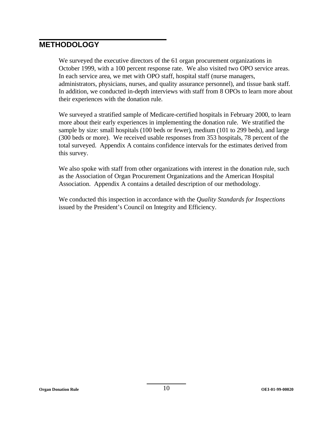### **METHODOLOGY**

We surveyed the executive directors of the 61 organ procurement organizations in October 1999, with a 100 percent response rate. We also visited two OPO service areas. In each service area, we met with OPO staff, hospital staff (nurse managers, administrators, physicians, nurses, and quality assurance personnel), and tissue bank staff. In addition, we conducted in-depth interviews with staff from 8 OPOs to learn more about their experiences with the donation rule.

We surveyed a stratified sample of Medicare-certified hospitals in February 2000, to learn more about their early experiences in implementing the donation rule. We stratified the sample by size: small hospitals (100 beds or fewer), medium (101 to 299 beds), and large (300 beds or more). We received usable responses from 353 hospitals, 78 percent of the total surveyed. Appendix A contains confidence intervals for the estimates derived from this survey.

We also spoke with staff from other organizations with interest in the donation rule, such as the Association of Organ Procurement Organizations and the American Hospital Association. Appendix A contains a detailed description of our methodology.

We conducted this inspection in accordance with the *Quality Standards for Inspections*  issued by the President's Council on Integrity and Efficiency.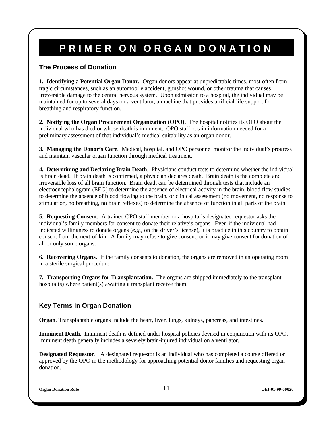# **PRIMER ON ORGAN DONATION**

#### **The Process of Donation**

1. Identifying a Potential Organ Donor. Organ donors appear at unpredictable times, most often from tragic circumstances, such as an automobile accident, gunshot wound, or other trauma that causes irreversible damage to the central nervous system. Upon admission to a hospital, the individual may be maintained for up to several days on a ventilator, a machine that provides artificial life support for breathing and respiratory function.

2. Notifying the Organ Procurement Organization (OPO). The hospital notifies its OPO about the individual who has died or whose death is imminent. OPO staff obtain information needed for a preliminary assessment of that individual's medical suitability as an organ donor.

3. Managing the Donor's Care. Medical, hospital, and OPO personnel monitor the individual's progress and maintain vascular organ function through medical treatment.

4. Determining and Declaring Brain Death. Physicians conduct tests to determine whether the individual is brain dead. If brain death is confirmed, a physician declares death. Brain death is the complete and irreversible loss of all brain function. Brain death can be determined through tests that include an electroencephalogram (EEG) to determine the absence of electrical activity in the brain, blood flow studies to determine the absence of blood flowing to the brain, or clinical assessment (no movement, no response to stimulation, no breathing, no brain reflexes) to determine the absence of function in all parts of the brain.

**5. Requesting Consent.** A trained OPO staff member or a hospital's designated requestor asks the individual's family members for consent to donate their relative's organs. Even if the individual had indicated willingness to donate organs (*e.g.*, on the driver's license), it is practice in this country to obtain consent from the next-of-kin. A family may refuse to give consent, or it may give consent for donation of all or only some organs.

**6.** If the family consents to donation, the organs are removed in an operating room **Recovering Organs.**  in a sterile surgical procedure.

7. Transporting Organs for Transplantation. The organs are shipped immediately to the transplant hospital(s) where patient(s) awaiting a transplant receive them.

#### **Key Terms in Organ Donation**

**Organ**. Transplantable organs include the heart, liver, lungs, kidneys, pancreas, and intestines.

Imminent Death. Imminent death is defined under hospital policies devised in conjunction with its OPO. Imminent death generally includes a severely brain-injured individual on a ventilator.

Designated Requestor. A designated requestor is an individual who has completed a course offered or approved by the OPO in the methodology for approaching potential donor families and requesting organ donation.

**Organ Donation Rule OEI-01-99-00020**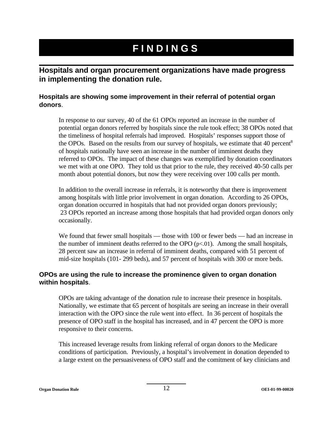# **FINDINGS**

### **Hospitals and organ procurement organizations have made progress in implementing the donation rule.**

#### **Hospitals are showing some improvement in their referral of potential organ donors**.

In response to our survey, 40 of the 61 OPOs reported an increase in the number of potential organ donors referred by hospitals since the rule took effect; 38 OPOs noted that the timeliness of hospital referrals had improved. Hospitals' responses support those of the OPOs. Based on the results from our survey of hospitals, we estimate that 40 percent<sup>8</sup> of hospitals nationally have seen an increase in the number of imminent deaths they referred to OPOs. The impact of these changes was exemplified by donation coordinators we met with at one OPO. They told us that prior to the rule, they received 40-50 calls per month about potential donors, but now they were receiving over 100 calls per month.

In addition to the overall increase in referrals, it is noteworthy that there is improvement among hospitals with little prior involvement in organ donation. According to 26 OPOs, organ donation occurred in hospitals that had not provided organ donors previously; 23 OPOs reported an increase among those hospitals that had provided organ donors only occasionally.

We found that fewer small hospitals — those with 100 or fewer beds — had an increase in the number of imminent deaths referred to the OPO  $(p<0.01)$ . Among the small hospitals, 28 percent saw an increase in referral of imminent deaths, compared with 51 percent of mid-size hospitals (101- 299 beds), and 57 percent of hospitals with 300 or more beds.

#### **OPOs are using the rule to increase the prominence given to organ donation within hospitals**.

OPOs are taking advantage of the donation rule to increase their presence in hospitals. Nationally, we estimate that 65 percent of hospitals are seeing an increase in their overall interaction with the OPO since the rule went into effect. In 36 percent of hospitals the presence of OPO staff in the hospital has increased, and in 47 percent the OPO is more responsive to their concerns.

This increased leverage results from linking referral of organ donors to the Medicare conditions of participation. Previously, a hospital's involvement in donation depended to a large extent on the persuasiveness of OPO staff and the comitment of key clinicians and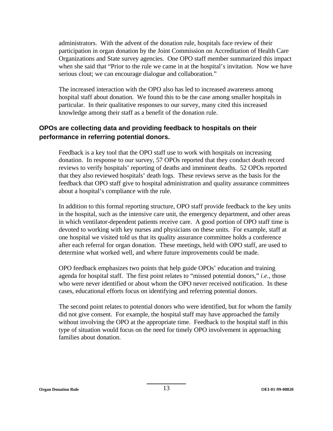administrators. With the advent of the donation rule, hospitals face review of their participation in organ donation by the Joint Commission on Accreditation of Health Care Organizations and State survey agencies. One OPO staff member summarized this impact when she said that "Prior to the rule we came in at the hospital's invitation. Now we have serious clout; we can encourage dialogue and collaboration."

The increased interaction with the OPO also has led to increased awareness among hospital staff about donation. We found this to be the case among smaller hospitals in particular. In their qualitative responses to our survey, many cited this increased knowledge among their staff as a benefit of the donation rule.

#### **OPOs are collecting data and providing feedback to hospitals on their performance in referring potential donors.**

Feedback is a key tool that the OPO staff use to work with hospitals on increasing donation. In response to our survey, 57 OPOs reported that they conduct death record reviews to verify hospitals' reporting of deaths and imminent deaths. 52 OPOs reported that they also reviewed hospitals' death logs. These reviews serve as the basis for the feedback that OPO staff give to hospital administration and quality assurance committees about a hospital's compliance with the rule.

In addition to this formal reporting structure, OPO staff provide feedback to the key units in the hospital, such as the intensive care unit, the emergency department, and other areas in which ventilator-dependent patients receive care. A good portion of OPO staff time is devoted to working with key nurses and physicians on these units. For example, staff at one hospital we visited told us that its quality assurance committee holds a conference after each referral for organ donation. These meetings, held with OPO staff, are used to determine what worked well, and where future improvements could be made.

OPO feedback emphasizes two points that help guide OPOs' education and training agenda for hospital staff. The first point relates to "missed potential donors," *i.e.,* those who were never identified or about whom the OPO never received notification. In these cases, educational efforts focus on identifying and referring potential donors.

The second point relates to potential donors who were identified, but for whom the family did not give consent. For example, the hospital staff may have approached the family without involving the OPO at the appropriate time. Feedback to the hospital staff in this type of situation would focus on the need for timely OPO involvement in approaching families about donation.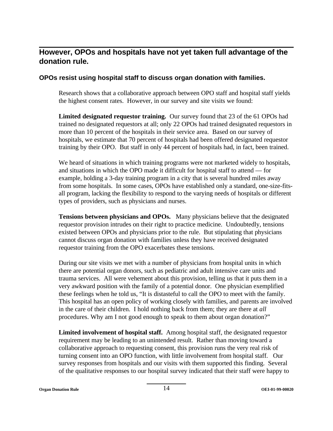## **However, OPOs and hospitals have not yet taken full advantage of the donation rule.**

#### **OPOs resist using hospital staff to discuss organ donation with families.**

Research shows that a collaborative approach between OPO staff and hospital staff yields the highest consent rates. However, in our survey and site visits we found:

**Limited designated requestor training.** Our survey found that 23 of the 61 OPOs had trained no designated requestors at all; only 22 OPOs had trained designated requestors in more than 10 percent of the hospitals in their service area. Based on our survey of hospitals, we estimate that 70 percent of hospitals had been offered designated requestor training by their OPO. But staff in only 44 percent of hospitals had, in fact, been trained.

We heard of situations in which training programs were not marketed widely to hospitals, and situations in which the OPO made it difficult for hospital staff to attend — for example, holding a 3-day training program in a city that is several hundred miles away from some hospitals. In some cases, OPOs have established only a standard, one-size-fitsall program, lacking the flexibility to respond to the varying needs of hospitals or different types of providers, such as physicians and nurses.

**Tensions between physicians and OPOs.** Many physicians believe that the designated requestor provision intrudes on their right to practice medicine. Undoubtedly, tensions existed between OPOs and physicians prior to the rule. But stipulating that physicians cannot discuss organ donation with families unless they have received designated requestor training from the OPO exacerbates these tensions.

During our site visits we met with a number of physicians from hospital units in which there are potential organ donors, such as pediatric and adult intensive care units and trauma services. All were vehement about this provision, telling us that it puts them in a very awkward position with the family of a potential donor. One physician exemplified these feelings when he told us, "It is distasteful to call the OPO to meet with the family. This hospital has an open policy of working closely with families, and parents are involved in the care of their children. I hold nothing back from them; they are there at *all*  procedures. Why am I not good enough to speak to them about organ donation?"

**Limited involvement of hospital staff.** Among hospital staff, the designated requestor requirement may be leading to an unintended result. Rather than moving toward a collaborative approach to requesting consent, this provision runs the very real risk of turning consent into an OPO function, with little involvement from hospital staff. Our survey responses from hospitals and our visits with them supported this finding. Several of the qualitative responses to our hospital survey indicated that their staff were happy to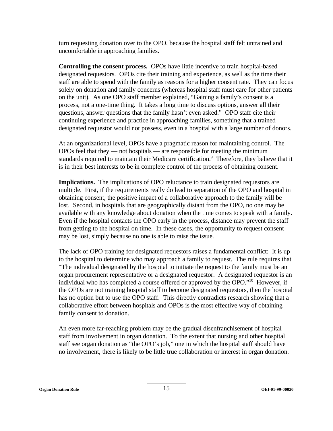turn requesting donation over to the OPO, because the hospital staff felt untrained and uncomfortable in approaching families.

**Controlling the consent process.** OPOs have little incentive to train hospital-based designated requestors. OPOs cite their training and experience, as well as the time their staff are able to spend with the family as reasons for a higher consent rate. They can focus solely on donation and family concerns (whereas hospital staff must care for other patients on the unit). As one OPO staff member explained, "Gaining a family's consent is a process, not a one-time thing. It takes a long time to discuss options, answer all their questions, answer questions that the family hasn't even asked." OPO staff cite their continuing experience and practice in approaching families, something that a trained designated requestor would not possess, even in a hospital with a large number of donors.

At an organizational level, OPOs have a pragmatic reason for maintaining control. The OPOs feel that they — not hospitals — are responsible for meeting the minimum standards required to maintain their Medicare certification.<sup>9</sup> Therefore, they believe that it is in their best interests to be in complete control of the process of obtaining consent.

**Implications.** The implications of OPO reluctance to train designated requestors are multiple. First, if the requirements really do lead to separation of the OPO and hospital in obtaining consent, the positive impact of a collaborative approach to the family will be lost. Second, in hospitals that are geographically distant from the OPO, no one may be available with any knowledge about donation when the time comes to speak with a family. Even if the hospital contacts the OPO early in the process, distance may prevent the staff from getting to the hospital on time. In these cases, the opportunity to request consent may be lost, simply because no one is able to raise the issue.

The lack of OPO training for designated requestors raises a fundamental conflict: It is up to the hospital to determine who may approach a family to request. The rule requires that "The individual designated by the hospital to initiate the request to the family must be an organ procurement representative or a designated requestor. A designated requestor is an individual who has completed a course offered or approved by the OPO."10 However, if the OPOs are not training hospital staff to become designated requestors, then the hospital has no option but to use the OPO staff. This directly contradicts research showing that a collaborative effort between hospitals and OPOs is the most effective way of obtaining family consent to donation.

An even more far-reaching problem may be the gradual disenfranchisement of hospital staff from involvement in organ donation. To the extent that nursing and other hospital staff see organ donation as "the OPO's job," one in which the hospital staff should have no involvement, there is likely to be little true collaboration or interest in organ donation.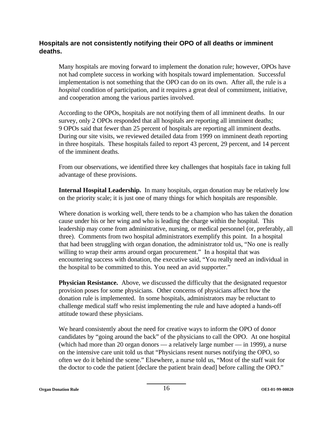#### **Hospitals are not consistently notifying their OPO of all deaths or imminent deaths.**

Many hospitals are moving forward to implement the donation rule; however, OPOs have not had complete success in working with hospitals toward implementation. Successful implementation is not something that the OPO can do on its own. After all, the rule is a *hospital* condition of participation, and it requires a great deal of commitment, initiative, and cooperation among the various parties involved.

According to the OPOs, hospitals are not notifying them of all imminent deaths. In our survey, only 2 OPOs responded that all hospitals are reporting all imminent deaths; 9 OPOs said that fewer than 25 percent of hospitals are reporting all imminent deaths. During our site visits, we reviewed detailed data from 1999 on imminent death reporting in three hospitals. These hospitals failed to report 43 percent, 29 percent, and 14 percent of the imminent deaths.

From our observations, we identified three key challenges that hospitals face in taking full advantage of these provisions.

**Internal Hospital Leadership.** In many hospitals, organ donation may be relatively low on the priority scale; it is just one of many things for which hospitals are responsible.

Where donation is working well, there tends to be a champion who has taken the donation cause under his or her wing and who is leading the charge within the hospital. This leadership may come from administrative, nursing, or medical personnel (or, preferably, all three). Comments from two hospital administrators exemplify this point. In a hospital that had been struggling with organ donation, the administrator told us, "No one is really willing to wrap their arms around organ procurement." In a hospital that was encountering success with donation, the executive said, "You really need an individual in the hospital to be committed to this. You need an avid supporter."

**Physician Resistance.** Above, we discussed the difficulty that the designated requestor provision poses for some physicians. Other concerns of physicians affect how the donation rule is implemented. In some hospitals, administrators may be reluctant to challenge medical staff who resist implementing the rule and have adopted a hands-off attitude toward these physicians.

We heard consistently about the need for creative ways to inform the OPO of donor candidates by "going around the back" of the physicians to call the OPO. At one hospital (which had more than 20 organ donors — a relatively large number — in 1999), a nurse on the intensive care unit told us that "Physicians resent nurses notifying the OPO, so often we do it behind the scene." Elsewhere, a nurse told us, "Most of the staff wait for the doctor to code the patient [declare the patient brain dead] before calling the OPO."

**Organ Donation Rule 16 OEI-01-99-00020 OEI-01-99-00020**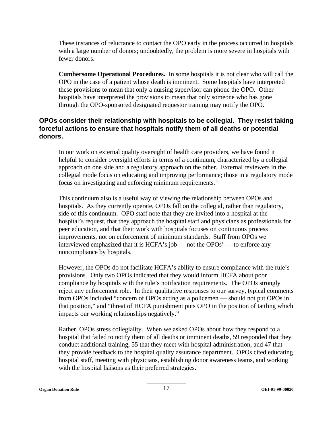These instances of reluctance to contact the OPO early in the process occurred in hospitals with a large number of donors; undoubtedly, the problem is more severe in hospitals with fewer donors.

**Cumbersome Operational Procedures.** In some hospitals it is not clear who will call the OPO in the case of a patient whose death is imminent. Some hospitals have interpreted these provisions to mean that only a nursing supervisor can phone the OPO. Other hospitals have interpreted the provisions to mean that only someone who has gone through the OPO-sponsored designated requestor training may notify the OPO.

#### **OPOs consider their relationship with hospitals to be collegial. They resist taking forceful actions to ensure that hospitals notify them of all deaths or potential donors.**

In our work on external quality oversight of health care providers, we have found it helpful to consider oversight efforts in terms of a continuum, characterized by a collegial approach on one side and a regulatory approach on the other. External reviewers in the collegial mode focus on educating and improving performance; those in a regulatory mode focus on investigating and enforcing minimum requirements.<sup>11</sup>

This continuum also is a useful way of viewing the relationship between OPOs and hospitals. As they currently operate, OPOs fall on the collegial, rather than regulatory, side of this continuum. OPO staff note that they are invited into a hospital at the hospital's request, that they approach the hospital staff and physicians as professionals for peer education, and that their work with hospitals focuses on continuous process improvements, not on enforcement of minimum standards. Staff from OPOs we interviewed emphasized that it is HCFA's job — not the OPOs' — to enforce any noncompliance by hospitals.

However, the OPOs do not facilitate HCFA's ability to ensure compliance with the rule's provisions. Only two OPOs indicated that they would inform HCFA about poor compliance by hospitals with the rule's notification requirements. The OPOs strongly reject any enforcement role. In their qualitative responses to our survey, typical comments from OPOs included "concern of OPOs acting as a policemen — should not put OPOs in that position," and "threat of HCFA punishment puts OPO in the position of tattling which impacts our working relationships negatively."

Rather, OPOs stress collegiality. When we asked OPOs about how they respond to a hospital that failed to notify them of all deaths or imminent deaths, 59 responded that they conduct additional training, 55 that they meet with hospital administration, and 47 that they provide feedback to the hospital quality assurance department. OPOs cited educating hospital staff, meeting with physicians, establishing donor awareness teams, and working with the hospital liaisons as their preferred strategies.

**Organ Donation Rule 17 OEI-01-99-00020 OEI-01-99-00020**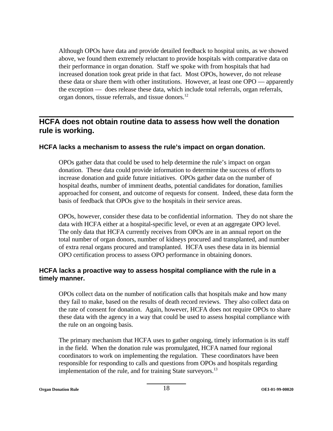Although OPOs have data and provide detailed feedback to hospital units, as we showed above, we found them extremely reluctant to provide hospitals with comparative data on their performance in organ donation. Staff we spoke with from hospitals that had increased donation took great pride in that fact. Most OPOs, however, do not release these data or share them with other institutions. However, at least one OPO — apparently the exception — does release these data, which include total referrals, organ referrals, organ donors, tissue referrals, and tissue donors.12

### **HCFA does not obtain routine data to assess how well the donation rule is working.**

#### **HCFA lacks a mechanism to assess the rule's impact on organ donation.**

OPOs gather data that could be used to help determine the rule's impact on organ donation. These data could provide information to determine the success of efforts to increase donation and guide future initiatives. OPOs gather data on the number of hospital deaths, number of imminent deaths, potential candidates for donation, families approached for consent, and outcome of requests for consent. Indeed, these data form the basis of feedback that OPOs give to the hospitals in their service areas.

OPOs, however, consider these data to be confidential information. They do not share the data with HCFA either at a hospital-specific level, or even at an aggregate OPO level. The only data that HCFA currently receives from OPOs are in an annual report on the total number of organ donors, number of kidneys procured and transplanted, and number of extra renal organs procured and transplanted. HCFA uses these data in its biennial OPO certification process to assess OPO performance in obtaining donors.

#### **HCFA lacks a proactive way to assess hospital compliance with the rule in a timely manner.**

OPOs collect data on the number of notification calls that hospitals make and how many they fail to make, based on the results of death record reviews. They also collect data on the rate of consent for donation. Again, however, HCFA does not require OPOs to share these data with the agency in a way that could be used to assess hospital compliance with the rule on an ongoing basis.

The primary mechanism that HCFA uses to gather ongoing, timely information is its staff in the field. When the donation rule was promulgated, HCFA named four regional coordinators to work on implementing the regulation. These coordinators have been responsible for responding to calls and questions from OPOs and hospitals regarding implementation of the rule, and for training State surveyors.<sup>13</sup>

**Organ Donation Rule 18 OEI-01-99-00020 OEI-01-99-00020**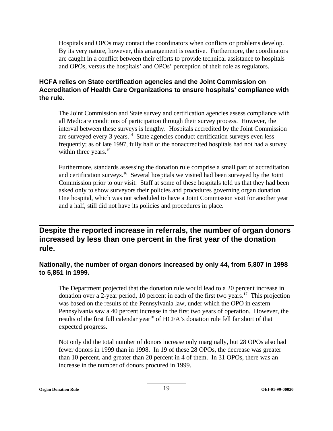Hospitals and OPOs may contact the coordinators when conflicts or problems develop. By its very nature, however, this arrangement is reactive. Furthermore, the coordinators are caught in a conflict between their efforts to provide technical assistance to hospitals and OPOs, versus the hospitals' and OPOs' perception of their role as regulators.

#### **HCFA relies on State certification agencies and the Joint Commission on Accreditation of Health Care Organizations to ensure hospitals' compliance with the rule.**

The Joint Commission and State survey and certification agencies assess compliance with all Medicare conditions of participation through their survey process. However, the interval between these surveys is lengthy. Hospitals accredited by the Joint Commission are surveyed every 3 years.14 State agencies conduct certification surveys even less frequently; as of late 1997, fully half of the nonaccredited hospitals had not had a survey within three years.<sup>15</sup>

Furthermore, standards assessing the donation rule comprise a small part of accreditation and certification surveys.<sup>16</sup> Several hospitals we visited had been surveyed by the Joint Commission prior to our visit. Staff at some of these hospitals told us that they had been asked only to show surveyors their policies and procedures governing organ donation. One hospital, which was not scheduled to have a Joint Commission visit for another year and a half, still did not have its policies and procedures in place.

**Despite the reported increase in referrals, the number of organ donors increased by less than one percent in the first year of the donation rule.** 

#### **Nationally, the number of organ donors increased by only 44, from 5,807 in 1998 to 5,851 in 1999.**

The Department projected that the donation rule would lead to a 20 percent increase in donation over a 2-year period, 10 percent in each of the first two years.<sup>17</sup> This projection was based on the results of the Pennsylvania law, under which the OPO in eastern Pennsylvania saw a 40 percent increase in the first two years of operation. However, the results of the first full calendar year<sup>18</sup> of HCFA's donation rule fell far short of that expected progress.

Not only did the total number of donors increase only marginally, but 28 OPOs also had fewer donors in 1999 than in 1998. In 19 of these 28 OPOs, the decrease was greater than 10 percent, and greater than 20 percent in 4 of them. In 31 OPOs, there was an increase in the number of donors procured in 1999.

**Organ Donation Rule 19 OEI-01-99-00020 OEI-01-99-00020**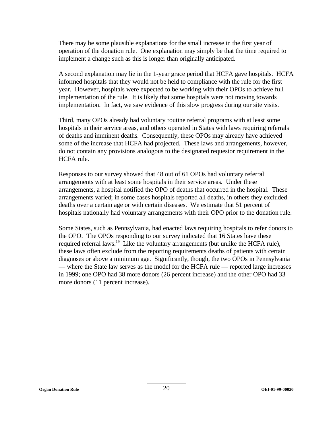There may be some plausible explanations for the small increase in the first year of operation of the donation rule. One explanation may simply be that the time required to implement a change such as this is longer than originally anticipated.

A second explanation may lie in the 1-year grace period that HCFA gave hospitals. HCFA informed hospitals that they would not be held to compliance with the rule for the first year. However, hospitals were expected to be working with their OPOs to achieve full implementation of the rule. It is likely that some hospitals were not moving towards implementation. In fact, we saw evidence of this slow progress during our site visits.

Third, many OPOs already had voluntary routine referral programs with at least some hospitals in their service areas, and others operated in States with laws requiring referrals of deaths and imminent deaths. Consequently, these OPOs may already have achieved some of the increase that HCFA had projected. These laws and arrangements, however, do not contain any provisions analogous to the designated requestor requirement in the HCFA rule.

Responses to our survey showed that 48 out of 61 OPOs had voluntary referral arrangements with at least some hospitals in their service areas. Under these arrangements, a hospital notified the OPO of deaths that occurred in the hospital. These arrangements varied; in some cases hospitals reported all deaths, in others they excluded deaths over a certain age or with certain diseases. We estimate that 51 percent of hospitals nationally had voluntary arrangements with their OPO prior to the donation rule.

Some States, such as Pennsylvania, had enacted laws requiring hospitals to refer donors to the OPO. The OPOs responding to our survey indicated that 16 States have these required referral laws.<sup>19</sup> Like the voluntary arrangements (but unlike the HCFA rule), these laws often exclude from the reporting requirements deaths of patients with certain diagnoses or above a minimum age. Significantly, though, the two OPOs in Pennsylvania — where the State law serves as the model for the HCFA rule — reported large increases in 1999; one OPO had 38 more donors (26 percent increase) and the other OPO had 33 more donors (11 percent increase).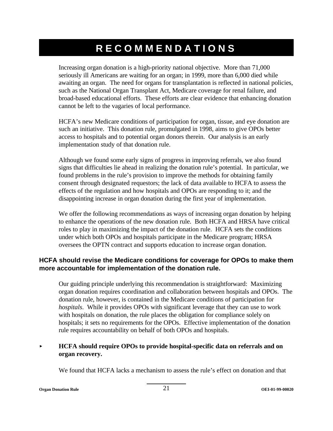# **RECOMMENDATIONS**

Increasing organ donation is a high-priority national objective. More than 71,000 seriously ill Americans are waiting for an organ; in 1999, more than 6,000 died while awaiting an organ. The need for organs for transplantation is reflected in national policies, such as the National Organ Transplant Act, Medicare coverage for renal failure, and broad-based educational efforts. These efforts are clear evidence that enhancing donation cannot be left to the vagaries of local performance.

HCFA's new Medicare conditions of participation for organ, tissue, and eye donation are such an initiative. This donation rule, promulgated in 1998, aims to give OPOs better access to hospitals and to potential organ donors therein. Our analysis is an early implementation study of that donation rule.

Although we found some early signs of progress in improving referrals, we also found signs that difficulties lie ahead in realizing the donation rule's potential. In particular, we found problems in the rule's provision to improve the methods for obtaining family consent through designated requestors; the lack of data available to HCFA to assess the effects of the regulation and how hospitals and OPOs are responding to it; and the disappointing increase in organ donation during the first year of implementation.

We offer the following recommendations as ways of increasing organ donation by helping to enhance the operations of the new donation rule. Both HCFA and HRSA have critical roles to play in maximizing the impact of the donation rule. HCFA sets the conditions under which both OPOs and hospitals participate in the Medicare program; HRSA oversees the OPTN contract and supports education to increase organ donation.

#### **HCFA should revise the Medicare conditions for coverage for OPOs to make them more accountable for implementation of the donation rule.**

Our guiding principle underlying this recommendation is straightforward: Maximizing organ donation requires coordination and collaboration between hospitals and OPOs. The donation rule, however, is contained in the Medicare conditions of participation for *hospitals*. While it provides OPOs with significant leverage that they can use to work with hospitals on donation, the rule places the obligation for compliance solely on hospitals; it sets no requirements for the OPOs. Effective implementation of the donation rule requires accountability on behalf of both OPOs and hospitals.

#### $\ddot{\phantom{a}}$  **HCFA should require OPOs to provide hospital-specific data on referrals and on organ recovery.**

We found that HCFA lacks a mechanism to assess the rule's effect on donation and that

**Organ Donation Rule** 21 **OEI-01-99-00020**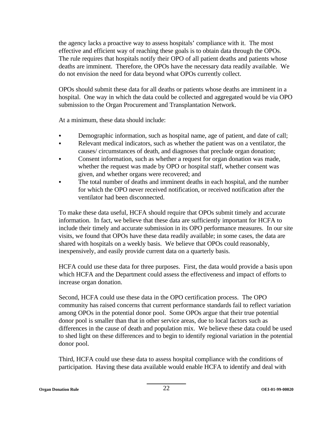the agency lacks a proactive way to assess hospitals' compliance with it. The most effective and efficient way of reaching these goals is to obtain data through the OPOs. The rule requires that hospitals notify their OPO of all patient deaths and patients whose deaths are imminent. Therefore, the OPOs have the necessary data readily available. We do not envision the need for data beyond what OPOs currently collect.

OPOs should submit these data for all deaths or patients whose deaths are imminent in a hospital. One way in which the data could be collected and aggregated would be via OPO submission to the Organ Procurement and Transplantation Network.

At a minimum, these data should include:

- Demographic information, such as hospital name, age of patient, and date of call;
- Relevant medical indicators, such as whether the patient was on a ventilator, the causes/ circumstances of death, and diagnoses that preclude organ donation;
- Consent information, such as whether a request for organ donation was made, whether the request was made by OPO or hospital staff, whether consent was given, and whether organs were recovered; and
- The total number of deaths and imminent deaths in each hospital, and the number for which the OPO never received notification, or received notification after the ventilator had been disconnected.

To make these data useful, HCFA should require that OPOs submit timely and accurate information. In fact, we believe that these data are sufficiently important for HCFA to include their timely and accurate submission in its OPO performance measures. In our site visits, we found that OPOs have these data readily available; in some cases, the data are shared with hospitals on a weekly basis. We believe that OPOs could reasonably, inexpensively, and easily provide current data on a quarterly basis.

HCFA could use these data for three purposes. First, the data would provide a basis upon which HCFA and the Department could assess the effectiveness and impact of efforts to increase organ donation.

Second, HCFA could use these data in the OPO certification process. The OPO community has raised concerns that current performance standards fail to reflect variation among OPOs in the potential donor pool. Some OPOs argue that their true potential donor pool is smaller than that in other service areas, due to local factors such as differences in the cause of death and population mix. We believe these data could be used to shed light on these differences and to begin to identify regional variation in the potential donor pool.

Third, HCFA could use these data to assess hospital compliance with the conditions of participation. Having these data available would enable HCFA to identify and deal with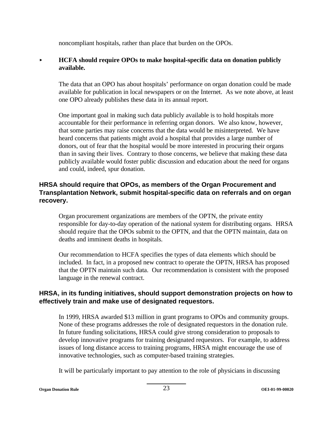noncompliant hospitals, rather than place that burden on the OPOs.

#### $\blacktriangleright$ **HCFA should require OPOs to make hospital-specific data on donation publicly available.**

The data that an OPO has about hospitals' performance on organ donation could be made available for publication in local newspapers or on the Internet. As we note above, at least one OPO already publishes these data in its annual report.

One important goal in making such data publicly available is to hold hospitals more accountable for their performance in referring organ donors. We also know, however, that some parties may raise concerns that the data would be misinterpreted. We have heard concerns that patients might avoid a hospital that provides a large number of donors, out of fear that the hospital would be more interested in procuring their organs than in saving their lives. Contrary to those concerns, we believe that making these data publicly available would foster public discussion and education about the need for organs and could, indeed, spur donation.

#### **HRSA should require that OPOs, as members of the Organ Procurement and Transplantation Network, submit hospital-specific data on referrals and on organ recovery.**

Organ procurement organizations are members of the OPTN, the private entity responsible for day-to-day operation of the national system for distributing organs. HRSA should require that the OPOs submit to the OPTN, and that the OPTN maintain, data on deaths and imminent deaths in hospitals.

Our recommendation to HCFA specifies the types of data elements which should be included. In fact, in a proposed new contract to operate the OPTN, HRSA has proposed that the OPTN maintain such data. Our recommendation is consistent with the proposed language in the renewal contract.

#### **HRSA, in its funding initiatives, should support demonstration projects on how to effectively train and make use of designated requestors.**

In 1999, HRSA awarded \$13 million in grant programs to OPOs and community groups. None of these programs addresses the role of designated requestors in the donation rule. In future funding solicitations, HRSA could give strong consideration to proposals to develop innovative programs for training designated requestors. For example, to address issues of long distance access to training programs, HRSA might encourage the use of innovative technologies, such as computer-based training strategies.

It will be particularly important to pay attention to the role of physicians in discussing

**Organ Donation Rule** 23 **OEI-01-99-00020**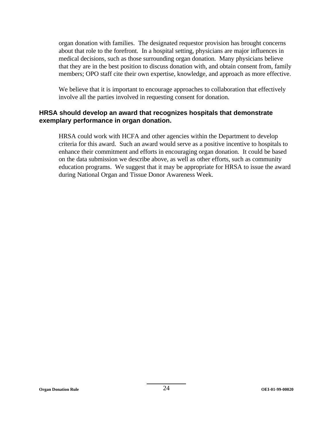organ donation with families. The designated requestor provision has brought concerns about that role to the forefront. In a hospital setting, physicians are major influences in medical decisions, such as those surrounding organ donation. Many physicians believe that they are in the best position to discuss donation with, and obtain consent from, family members; OPO staff cite their own expertise, knowledge, and approach as more effective.

We believe that it is important to encourage approaches to collaboration that effectively involve all the parties involved in requesting consent for donation.

#### **HRSA should develop an award that recognizes hospitals that demonstrate exemplary performance in organ donation.**

HRSA could work with HCFA and other agencies within the Department to develop criteria for this award. Such an award would serve as a positive incentive to hospitals to enhance their commitment and efforts in encouraging organ donation. It could be based on the data submission we describe above, as well as other efforts, such as community education programs. We suggest that it may be appropriate for HRSA to issue the award during National Organ and Tissue Donor Awareness Week.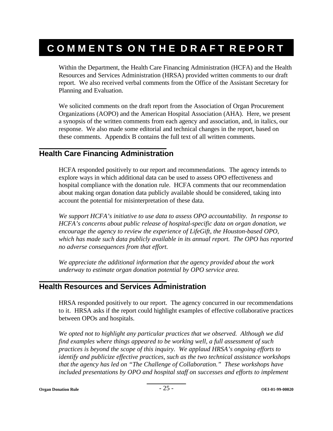# **COMMENTS ON THE DRAFT REPORT**

Within the Department, the Health Care Financing Administration (HCFA) and the Health Resources and Services Administration (HRSA) provided written comments to our draft report. We also received verbal comments from the Office of the Assistant Secretary for Planning and Evaluation.

We solicited comments on the draft report from the Association of Organ Procurement Organizations (AOPO) and the American Hospital Association (AHA). Here, we present a synopsis of the written comments from each agency and association, and, in italics, our response. We also made some editorial and technical changes in the report, based on these comments. Appendix B contains the full text of all written comments.

### **Health Care Financing Administration**

HCFA responded positively to our report and recommendations. The agency intends to explore ways in which additional data can be used to assess OPO effectiveness and hospital compliance with the donation rule. HCFA comments that our recommendation about making organ donation data publicly available should be considered, taking into account the potential for misinterpretation of these data.

*We support HCFA's initiative to use data to assess OPO accountability. In response to HCFA's concerns about public release of hospital-specific data on organ donation, we encourage the agency to review the experience of LifeGift, the Houston-based OPO, which has made such data publicly available in its annual report. The OPO has reported no adverse consequences from that effort.* 

*We appreciate the additional information that the agency provided about the work underway to estimate organ donation potential by OPO service area.* 

#### **Health Resources and Services Administration**

HRSA responded positively to our report. The agency concurred in our recommendations to it. HRSA asks if the report could highlight examples of effective collaborative practices between OPOs and hospitals.

*We opted not to highlight any particular practices that we observed. Although we did find examples where things appeared to be working well, a full assessment of such practices is beyond the scope of this inquiry. We applaud HRSA's ongoing efforts to identify and publicize effective practices, such as the two technical assistance workshops that the agency has led on "The Challenge of Collaboration." These workshops have included presentations by OPO and hospital staff on successes and efforts to implement*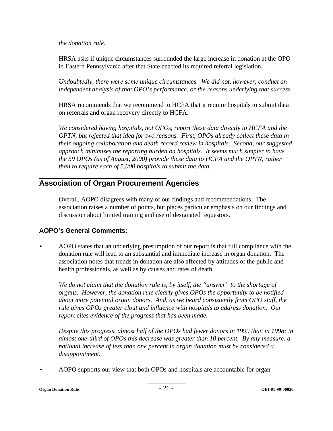*the donation rule.* 

HRSA asks if unique circumstances surrounded the large increase in donation at the OPO in Eastern Pennsylvania after that State enacted its required referral legislation.

*Undoubtedly, there were some unique circumstances. We did not, however, conduct an independent analysis of that OPO's performance, or the reasons underlying that success.* 

HRSA recommends that we recommend to HCFA that it require hospitals to submit data on referrals and organ recovery directly to HCFA.

*We considered having hospitals, not OPOs, report these data directly to HCFA and the OPTN, but rejected that idea for two reasons. First, OPOs already collect these data in their ongoing collaboration and death record review in hospitals. Second, our suggested approach minimizes the reporting burden on hospitals. It seems much simpler to have the 59 OPOs (as of August, 2000) provide these data to HCFA and the OPTN, rather than to require each of 5,000 hospitals to submit the data.* 

### **Association of Organ Procurement Agencies**

Overall, AOPO disagrees with many of our findings and recommendations. The association raises a number of points, but places particular emphasis on our findings and discussion about limited training and use of designated requestors.

#### **AOPO's General Comments:**

AOPO states that an underlying presumption of our report is that full compliance with the donation rule will lead to an substantial and immediate increase in organ donation. The association notes that trends in donation are also affected by attitudes of the public and health professionals, as well as by causes and rates of death.

*We do not claim that the donation rule is, by itself, the "answer" to the shortage of organs. However, the donation rule clearly gives OPOs the opportunity to be notified about more potential organ donors. And, as we heard consistently from OPO staff, the rule gives OPOs greater clout and influence with hospitals to address donation. Our report cites evidence of the progress that has been made.* 

*Despite this progress, almost half of the OPOs had fewer donors in 1999 than in 1998; in almost one-third of OPOs this decrease was greater than 10 percent. By any measure, a national increase of less than one percent in organ donation must be considered a disappointment.* 

< AOPO supports our view that both OPOs and hospitals are accountable for organ

**Organ Donation Rule** - 26 - **OEI-01-99-00020**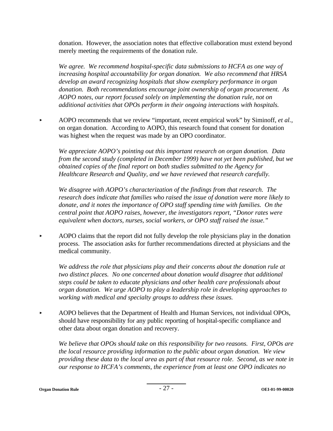donation. However, the association notes that effective collaboration must extend beyond merely meeting the requirements of the donation rule.

*We agree. We recommend hospital-specific data submissions to HCFA as one way of increasing hospital accountability for organ donation. We also recommend that HRSA develop an award recognizing hospitals that show exemplary performance in organ donation. Both recommendations encourage joint ownership of organ procurement. As AOPO notes, our report focused solely on implementing the donation rule, not on additional activities that OPOs perform in their ongoing interactions with hospitals.* 

AOPO recommends that we review "important, recent empirical work" by Siminoff, *et al.*, on organ donation. According to AOPO, this research found that consent for donation was highest when the request was made by an OPO coordinator.

*We appreciate AOPO's pointing out this important research on organ donation. Data from the second study (completed in December 1999) have not yet been published, but we obtained copies of the final report on both studies submitted to the Agency for Healthcare Research and Quality, and we have reviewed that research carefully.* 

*We disagree with AOPO's characterization of the findings from that research. The research does indicate that families who raised the issue of donation were more likely to donate, and it notes the importance of OPO staff spending time with families. On the central point that AOPO raises, however, the investigators report, "Donor rates were equivalent when doctors, nurses, social workers, or OPO staff raised the issue."* 

AOPO claims that the report did not fully develop the role physicians play in the donation process. The association asks for further recommendations directed at physicians and the medical community.

*We address the role that physicians play and their concerns about the donation rule at two distinct places. No one concerned about donation would disagree that additional steps could be taken to educate physicians and other health care professionals about organ donation. We urge AOPO to play a leadership role in developing approaches to working with medical and specialty groups to address these issues.* 

AOPO believes that the Department of Health and Human Services, not individual OPOs, should have responsibility for any public reporting of hospital-specific compliance and other data about organ donation and recovery.

*We believe that OPOs should take on this responsibility for two reasons. First, OPOs are the local resource providing information to the public about organ donation. We view providing these data to the local area as part of that resource role. Second, as we note in our response to HCFA's comments, the experience from at least one OPO indicates no*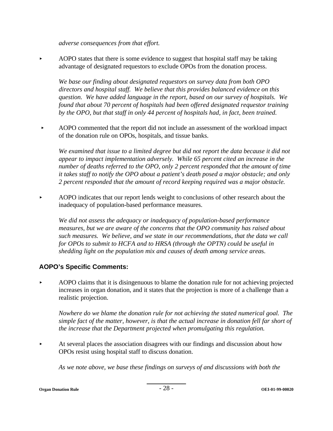*adverse consequences from that effort.* 

 $\blacktriangleright$  AOPO states that there is some evidence to suggest that hospital staff may be taking advantage of designated requestors to exclude OPOs from the donation process.

*We base our finding about designated requestors on survey data from both OPO directors and hospital staff. We believe that this provides balanced evidence on this question. We have added language in the report, based on our survey of hospitals. We found that about 70 percent of hospitals had been offered designated requestor training by the OPO, but that staff in only 44 percent of hospitals had, in fact, been trained.* 

AOPO commented that the report did not include an assessment of the workload impact of the donation rule on OPOs, hospitals, and tissue banks.

*We examined that issue to a limited degree but did not report the data because it did not appear to impact implementation adversely. While 65 percent cited an increase in the number of deaths referred to the OPO, only 2 percent responded that the amount of time it takes staff to notify the OPO about a patient's death posed a major obstacle; and only 2 percent responded that the amount of record keeping required was a major obstacle.* 

AOPO indicates that our report lends weight to conclusions of other research about the inadequacy of population-based performance measures.

*We did not assess the adequacy or inadequacy of population-based performance measures, but we are aware of the concerns that the OPO community has raised about such measures. We believe, and we state in our recommendations, that the data we call for OPOs to submit to HCFA and to HRSA (through the OPTN) could be useful in shedding light on the population mix and causes of death among service area*s.

#### **AOPO's Specific Comments:**

< AOPO claims that it is disingenuous to blame the donation rule for not achieving projected increases in organ donation, and it states that the projection is more of a challenge than a realistic projection.

*Nowhere do we blame the donation rule for not achieving the stated numerical goal. The simple fact of the matter, however, is that the actual increase in donation fell far short of the increase that the Department projected when promulgating this regulation.* 

At several places the association disagrees with our findings and discussion about how OPOs resist using hospital staff to discuss donation.

*As we note above, we base these findings on surveys of and discussions with both the* 

**Organ Donation Rule COEI-01-99-00020 COEI-01-99-00020 COEI-01-99-00020**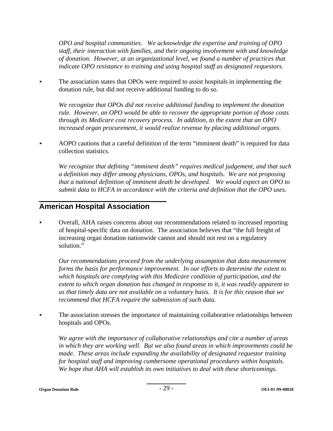*OPO and hospital communities. We acknowledge the expertise and training of OPO staff, their interaction with families, and their ongoing involvement with and knowledge of donation. However, at an organizational level, we found a number of practices that indicate OPO resistance to training and using hospital staff as designated requestors.* 

 $\blacktriangleright$  The association states that OPOs were required to assist hospitals in implementing the donation rule, but did not receive additional funding to do so.

*We recognize that OPOs did not receive additional funding to implement the donation rule. However, an OPO would be able to recover the appropriate portion of those costs through its Medicare cost recovery process. In addition, to the extent that an OPO increased organ procurement, it would realize revenue by placing additional organs.* 

AOPO cautions that a careful definition of the term "imminent death" is required for data collection statistics.

*We recognize that defining "imminent death" requires medical judgement, and that such a definition may differ among physicians, OPOs, and hospitals. We are not proposing that a national definition of imminent death be developed. We would expect an OPO to submit data to HCFA in accordance with the criteria and definition that the OPO uses.* 

### **American Hospital Association**

< Overall, AHA raises concerns about our recommendations related to increased reporting of hospital-specific data on donation. The association believes that "the full freight of increasing organ donation nationwide cannot and should not rest on a regulatory solution."

*Our recommendations proceed from the underlying assumption that data measurement forms the basis for performance improvement. In our efforts to determine the extent to which hospitals are complying with this Medicare condition of participation, and the extent to which organ donation has changed in response to it, it was readily apparent to us that timely data are not available on a voluntary basis. It is for this reason that we recommend that HCFA require the submission of such data.* 

• The association stresses the importance of maintaining collaborative relationships between hospitals and OPOs.

*We agree with the importance of collaborative relationships and cite a number of areas in which they are working well. But we also found areas in which improvements could be made. These areas include expanding the availability of designated requestor training for hospital staff and improving cumbersome operational procedures within hospitals. We hope that AHA will establish its own initiatives to deal with these shortcomings.* 

**Organ Donation Rule** - 29 - **OEI-01-99-00020**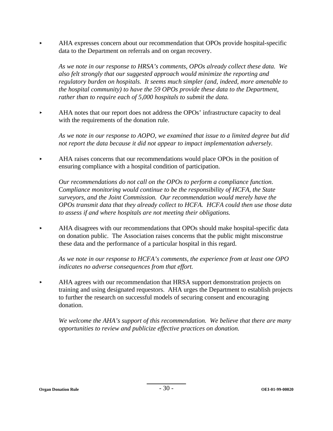< AHA expresses concern about our recommendation that OPOs provide hospital-specific data to the Department on referrals and on organ recovery.

*As we note in our response to HRSA's comments, OPOs already collect these data. We also felt strongly that our suggested approach would minimize the reporting and regulatory burden on hospitals. It seems much simpler (and, indeed, more amenable to the hospital community) to have the 59 OPOs provide these data to the Department, rather than to require each of 5,000 hospitals to submit the data.* 

AHA notes that our report does not address the OPOs' infrastructure capacity to deal with the requirements of the donation rule.

*As we note in our response to AOPO, we examined that issue to a limited degree but did not report the data because it did not appear to impact implementation adversely.* 

< AHA raises concerns that our recommendations would place OPOs in the position of ensuring compliance with a hospital condition of participation.

*Our recommendations do not call on the OPOs to perform a compliance function.*  C*ompliance monitoring would continue to be the responsibility of HCFA, the State surveyors, and the Joint Commission. Our recommendation would merely have the OPOs transmit data that they already collect to HCFA. HCFA could then use those data to assess if and where hospitals are not meeting their obligations.* 

< AHA disagrees with our recommendations that OPOs should make hospital-specific data on donation public. The Association raises concerns that the public might misconstrue these data and the performance of a particular hospital in this regard.

*As we note in our response to HCFA's comments, the experience from at least one OPO indicates no adverse consequences from that effort.* 

< AHA agrees with our recommendation that HRSA support demonstration projects on training and using designated requestors. AHA urges the Department to establish projects to further the research on successful models of securing consent and encouraging donation.

*We welcome the AHA's support of this recommendation. We believe that there are many opportunities to review and publicize effective practices on donation.*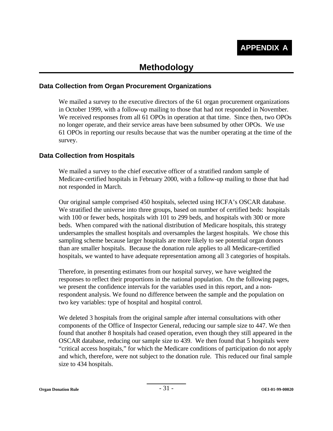## **Methodology**

#### **Data Collection from Organ Procurement Organizations**

We mailed a survey to the executive directors of the 61 organ procurement organizations in October 1999, with a follow-up mailing to those that had not responded in November. We received responses from all 61 OPOs in operation at that time. Since then, two OPOs no longer operate, and their service areas have been subsumed by other OPOs. We use 61 OPOs in reporting our results because that was the number operating at the time of the survey.

#### **Data Collection from Hospitals**

We mailed a survey to the chief executive officer of a stratified random sample of Medicare-certified hospitals in February 2000, with a follow-up mailing to those that had not responded in March.

Our original sample comprised 450 hospitals, selected using HCFA's OSCAR database. We stratified the universe into three groups, based on number of certified beds: hospitals with 100 or fewer beds, hospitals with 101 to 299 beds, and hospitals with 300 or more beds. When compared with the national distribution of Medicare hospitals, this strategy undersamples the smallest hospitals and oversamples the largest hospitals. We chose this sampling scheme because larger hospitals are more likely to see potential organ donors than are smaller hospitals. Because the donation rule applies to all Medicare-certified hospitals, we wanted to have adequate representation among all 3 categories of hospitals.

Therefore, in presenting estimates from our hospital survey, we have weighted the responses to reflect their proportions in the national population. On the following pages, we present the confidence intervals for the variables used in this report, and a nonrespondent analysis. We found no difference between the sample and the population on two key variables: type of hospital and hospital control.

We deleted 3 hospitals from the original sample after internal consultations with other components of the Office of Inspector General, reducing our sample size to 447. We then found that another 8 hospitals had ceased operation, even though they still appeared in the OSCAR database, reducing our sample size to 439. We then found that 5 hospitals were "critical access hospitals," for which the Medicare conditions of participation do not apply and which, therefore, were not subject to the donation rule. This reduced our final sample size to 434 hospitals.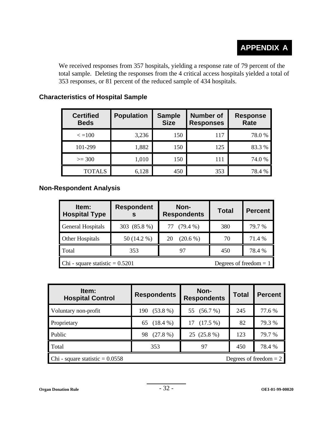We received responses from 357 hospitals, yielding a response rate of 79 percent of the total sample. Deleting the responses from the 4 critical access hospitals yielded a total of 353 responses, or 81 percent of the reduced sample of 434 hospitals.

| <b>Certified</b><br><b>Beds</b> | <b>Population</b> | <b>Sample</b><br><b>Size</b> | <b>Number of</b><br><b>Responses</b> | <b>Response</b><br><b>Rate</b> |
|---------------------------------|-------------------|------------------------------|--------------------------------------|--------------------------------|
| $\epsilon = 100$                | 3,236             | 150                          | 117                                  | 78.0%                          |
| 101-299                         | 1,882             | 150                          | 125                                  | 83.3 %                         |
| $>=$ 300                        | 1,010             | 150                          | 111                                  | 74.0 %                         |
| <b>TOTALS</b>                   | 6,128             | 450                          | 353                                  | 78.4 %                         |

### **Characteristics of Hospital Sample**

#### **Non-Respondent Analysis**

| Item:<br><b>Hospital Type</b>                                 | <b>Respondent</b> | Non-<br><b>Respondents</b> | <b>Total</b> | <b>Percent</b> |  |
|---------------------------------------------------------------|-------------------|----------------------------|--------------|----------------|--|
| General Hospitals                                             | 303 (85.8 %)      | 77 (79.4 %)                | 380          | 79.7 %         |  |
| Other Hospitals                                               | 50 (14.2 %)       | $(20.6\%)$<br>20           | 70           | 71.4 %         |  |
| Total                                                         | 353               | 97                         | 450          | 78.4 %         |  |
| Chi - square statistic = $0.5201$<br>Degrees of freedom $= 1$ |                   |                            |              |                |  |

| ltem:<br><b>Hospital Control</b>                              | <b>Respondents</b> | Non-<br><b>Respondents</b> | <b>Total</b> | <b>Percent</b> |  |
|---------------------------------------------------------------|--------------------|----------------------------|--------------|----------------|--|
| Voluntary non-profit                                          | $(53.8\%)$<br>190  | 55 (56.7 %)                | 245          | 77.6 %         |  |
| Proprietary                                                   | 65 (18.4 %)        | $17(17.5\%)$               | 82           | 79.3 %         |  |
| Public                                                        | $(27.8\%)$<br>98   | 25 (25.8 %)                | 123          | 79.7 %         |  |
| Total                                                         | 353                | 97                         | 450          | 78.4 %         |  |
| Chi - square statistic = $0.0558$<br>Degrees of freedom $= 2$ |                    |                            |              |                |  |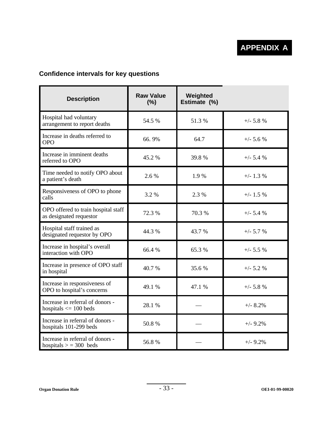### **Confidence intervals for key questions**

| <b>Description</b>                                             | <b>Raw Value</b><br>(%) | Weighted<br>Estimate (%) |             |
|----------------------------------------------------------------|-------------------------|--------------------------|-------------|
| Hospital had voluntary<br>arrangement to report deaths         | 54.5 %                  | 51.3%                    | $+/- 5.8 %$ |
| Increase in deaths referred to<br><b>OPO</b>                   | 66.9%                   | 64.7                     | $+/- 5.6 %$ |
| Increase in imminent deaths<br>referred to OPO                 | 45.2 %                  | 39.8%                    | $+/- 5.4 %$ |
| Time needed to notify OPO about<br>a patient's death           | 2.6%                    | 1.9%                     | $+/- 1.3 %$ |
| Responsiveness of OPO to phone<br>calls                        | 3.2 %                   | 2.3 %                    | $+/- 1.5 %$ |
| OPO offered to train hospital staff<br>as designated requestor | 72.3 %                  | 70.3 %                   | $+/- 5.4 %$ |
| Hospital staff trained as<br>designated requestor by OPO       | 44.3 %                  | 43.7 %                   | $+/- 5.7 %$ |
| Increase in hospital's overall<br>interaction with OPO         | 66.4 %                  | 65.3%                    | $+/- 5.5 %$ |
| Increase in presence of OPO staff<br>in hospital               | 40.7 %                  | 35.6%                    | $+/- 5.2 %$ |
| Increase in responsiveness of<br>OPO to hospital's concerns    | 49.1 %                  | 47.1 %                   | $+/- 5.8 %$ |
| Increase in referral of donors -<br>hospitals $\leq$ 100 beds  | 28.1 %                  |                          | $+/- 8.2%$  |
| Increase in referral of donors -<br>hospitals 101-299 beds     | 50.8%                   |                          | $+/-9.2%$   |
| Increase in referral of donors -<br>hospitals $> = 300$ beds   | 56.8%                   |                          | $+/- 9.2%$  |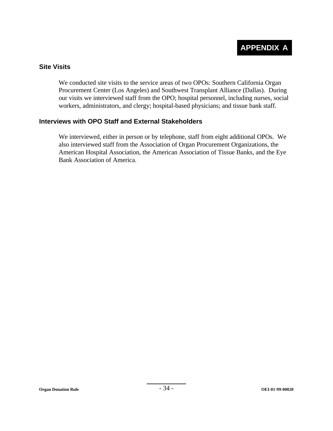#### **Site Visits**

We conducted site visits to the service areas of two OPOs: Southern California Organ Procurement Center (Los Angeles) and Southwest Transplant Alliance (Dallas). During our visits we interviewed staff from the OPO; hospital personnel, including nurses, social workers, administrators, and clergy; hospital-based physicians; and tissue bank staff.

#### **Interviews with OPO Staff and External Stakeholders**

We interviewed, either in person or by telephone, staff from eight additional OPOs. We also interviewed staff from the Association of Organ Procurement Organizations, the American Hospital Association, the American Association of Tissue Banks, and the Eye Bank Association of America.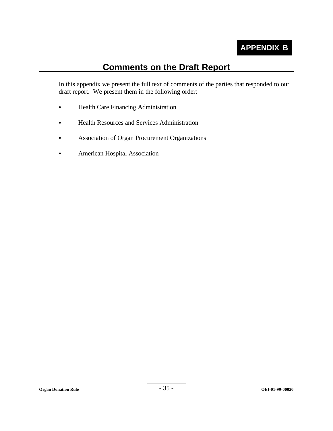

# **Comments on the Draft Report**

In this appendix we present the full text of comments of the parties that responded to our draft report. We present them in the following order:

- Health Care Financing Administration
- Health Resources and Services Administration
- Association of Organ Procurement Organizations
- American Hospital Association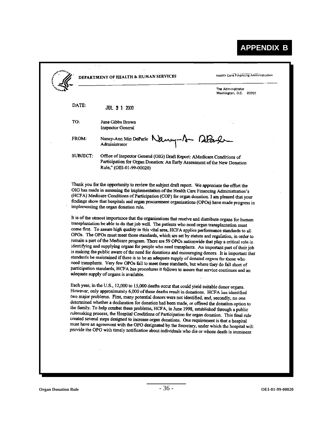# **APPENDIX B**

|          |                                                                                                                                                                                                                                                                                                                                                                                                                                                                                                                                                                                                                                                                                                                                                                                                                                                                                                                                                                                                                                                                                                                                                                                                                 | The Administrator<br>Washington, D.C. 20201                                                |
|----------|-----------------------------------------------------------------------------------------------------------------------------------------------------------------------------------------------------------------------------------------------------------------------------------------------------------------------------------------------------------------------------------------------------------------------------------------------------------------------------------------------------------------------------------------------------------------------------------------------------------------------------------------------------------------------------------------------------------------------------------------------------------------------------------------------------------------------------------------------------------------------------------------------------------------------------------------------------------------------------------------------------------------------------------------------------------------------------------------------------------------------------------------------------------------------------------------------------------------|--------------------------------------------------------------------------------------------|
| DATE:    | <b>JUL 3 1 2000</b>                                                                                                                                                                                                                                                                                                                                                                                                                                                                                                                                                                                                                                                                                                                                                                                                                                                                                                                                                                                                                                                                                                                                                                                             |                                                                                            |
| TO:      | June Gibbs Brown<br>Inspector General                                                                                                                                                                                                                                                                                                                                                                                                                                                                                                                                                                                                                                                                                                                                                                                                                                                                                                                                                                                                                                                                                                                                                                           |                                                                                            |
| FROM:    | Nancy-Ann Min DeParle Nancy-1<br>Administrator                                                                                                                                                                                                                                                                                                                                                                                                                                                                                                                                                                                                                                                                                                                                                                                                                                                                                                                                                                                                                                                                                                                                                                  | alay                                                                                       |
| SUBJECT. | Office of Inspector General (OIG) Draft Report: AMedicare Conditions of<br>Participation for Organ Donation: An Early Assessment of the New Donation<br>Rule," (OEI-01-99-00020)                                                                                                                                                                                                                                                                                                                                                                                                                                                                                                                                                                                                                                                                                                                                                                                                                                                                                                                                                                                                                                |                                                                                            |
|          | (HCFA) Medicare Conditions of Participation (COP) for organ donation. I am pleased that your                                                                                                                                                                                                                                                                                                                                                                                                                                                                                                                                                                                                                                                                                                                                                                                                                                                                                                                                                                                                                                                                                                                    | OIG has made in assessing the implementation of the Health Care Financing Administration's |
|          | findings show that hospitals and organ procurement organizations (OPOs) have made progress in<br>implementing the organ donation rule.<br>It is of the utmost importance that the organizations that receive and distribute organs for human<br>transplantation be able to do that job well. The patients who need organ transplantation must<br>come first. To assure high quality in this vital area, HCFA applies performance standards to all<br>OPOs. The OPOs must meet those standards, which are set by statute and regulation, in order to<br>remain a part of the Medicare program. There are 59 OPOs nationwide that play a critical role in<br>identifying and supplying organs for people who need transplants. An important part of their job<br>is making the public aware of the need for donations and encouraging donors. It is important that<br>standards be maintained if there is to be an adequate supply of donated organs for those who<br>need transplants. Very few OPOs fail to meet these standards, but where they do fall short of<br>participation standards, HCFA has procedures it follows to assure that service continues and an<br>adequate supply of organs is available. |                                                                                            |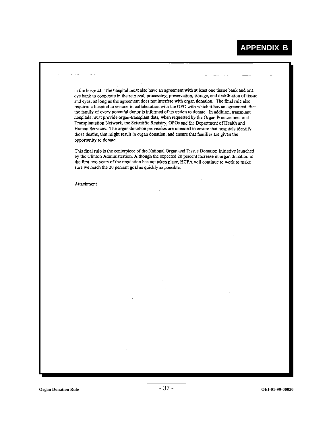in the hospital. The hospital must also have an agreement with at least one tissue bank and one eye bank to cooperate in the retrieval, processing, preservation, storage, and distribution of tissue and eyes, as long as the agreement does not interfere with organ donation. The final rule also requires a hospital to ensure, in collaboration with the OPO with which it has an agreement, that the family of every potential donor is informed of its option to donate. In addition, transplant hospitals must provide organ-transplant data, when requested by the Organ Procurement and Transplantation Network, the Scientific Registry, OPOs and the Department of Health and Human Services. The organ donation provisions are intended to ensure that hospitals identify those deaths, that might result in organ donation, and ensure that families are given the opportunity to donate.

This final rule is the centerpiece of the National Organ and Tissue Donation Initiative launched by the Clinton Administration. Although the expected 20 percent increase in organ donation in the first two years of the regulation has not taken place, HCFA will continue to work to make sure we reach the 20 percent goal as quickly as possible.

Attachment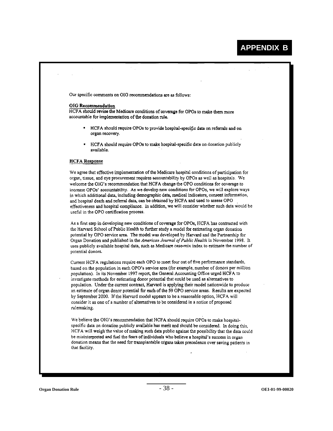Our specific comments on OIG recommendations are as follows:

#### **OIG** Recommendation

HCFA should revise the Medicare conditions of coverage for OPOs to make them more accountable for implementation of the donation rule.

- HCFA should require OPOs to provide hospital-specific data on referrals and on organ recovery.
- HCFA should require OPOs to make hospital-specific data on donation publicly available.

#### **HCFA** Response

We agree that effective implementation of the Medicare hospital conditions of participation for organ, tissue, and eye procurement requires accountability by OPOs as well as hospitals. We welcome the OIG's recommendation that HCFA change the OPO conditions for coverage to increase OPOs' accountability. As we develop new conditions for OPOs, we will explore ways in which additional data, including demographic data, medical indicators, consent information, and hospital death and referral data, can be obtained by HCFA and used to assess OPO effectiveness and hospital compliance. In addition, we will consider whether such data would be useful in the OPO certification process.

As a first step in developing new conditions of coverage for OPOs, HCFA has contracted with the Harvard School of Public Health to further study a model for estimating organ donation potential by OPO service area. The model was developed by Harvard and the Partnership for Organ Donation and published in the American Journal of Public Health in November 1998. It uses publicly available hospital data, such as Medicare case-mix index to estimate the number of potential donors.

Current HCFA regulations require each OPO to meet four out of five performance standards, based on the population in each OPO's service area (for example, number of donors per million population). In its November 1997 report, the General Accounting Office urged HCFA to investigate methods for estimating donor potential that could be used as alternatives to population. Under the current contract, Harvard is applying their model nationwide to produce an estimate of organ donor potential for each of the 59 OPO service areas. Results are expected by September 2000. If the Harvard model appears to be a reasonable option, HCFA will consider it as one of a number of alternatives to be considered in a notice of proposed rulemaking.

We believe the OIG's recommendation that HCFA should require OPOs to make hospitalspecific data on donation publicly available has merit and should be considered. In doing this, HCFA will weigh the value of making such data public against the possibility that the data could be misinterpreted and fuel the fears of individuals who believe a hospital's success in organ donation means that the need for transplantable organs takes precedence over saving patients in that facility.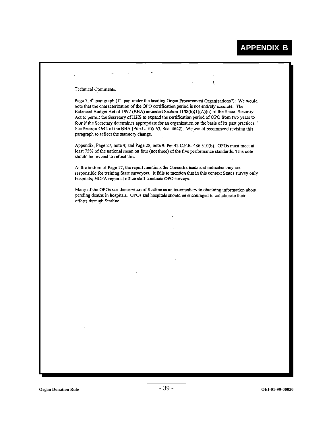#### Technical Comments:

Page 7, 4<sup>th</sup> paragraph (1<sup>tt</sup>, par. under the heading Organ Procurement Organizations"): We would note that the characterization of the OPO certification period is not entirely accurate. The Balanced Budget Act of 1997 (BBA) amended Section 1138(b)(1)(A)(ii) of the Social Security Act to permit the Secretary of HHS to expand the certification period of OPO from two years to four if the Secretary determines appropriate for an organization on the basis of its past practices." See Section 4642 of the BBA (Pub.L. 105-33, Sec. 4642). We would recommend revising this paragraph to reflect the statutory change.

 $\overline{\mathbf{r}}$ 

Appendix, Page 27, note 4, and Page 28, note 9: Per 42 C.F.R. 486.310(b). OPOs must meet at least 75% of the national mean on four (not three) of the five performance standards. This note should be revised to reflect this.

At the bottom of Page 17, the report mentions the Consortia leads and indicates they are responsible for training State surveyors. It fails to mention that in this context States survey only hospitals; HCFA regional office staff conducts OPO surveys.

Many of the OPOs use the services of Statline as an intermediary in obtaining information about pending deaths in hospitals. OPOs and hospitals should be encouraged to collaborate their efforts through Statline.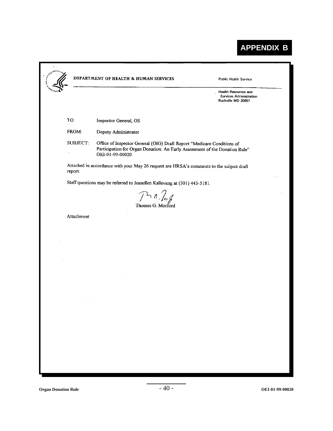# **APPENDIX B**

|            |                                                                                                                                                                          | Health Resources and<br>Services Administration<br>Rockville MD 20857 |
|------------|--------------------------------------------------------------------------------------------------------------------------------------------------------------------------|-----------------------------------------------------------------------|
| TO:        | Inspector General, OS                                                                                                                                                    |                                                                       |
| FROM:      | Deputy Administrator                                                                                                                                                     |                                                                       |
| SUBJECT:   | Office of Inspector General (OIG) Draft Report "Medicare Conditions of<br>Participation for Organ Donation: An Early Assessment of the Donation Rule"<br>OEI-01-99-00020 |                                                                       |
| report.    | Attached in accordance with your May 26 request are HRSA's comments to the subject draft                                                                                 |                                                                       |
|            | Staff questions may be referred to Jeanellen Kallevang at (301) 443-5181.                                                                                                |                                                                       |
|            | $\mathcal{P}$ 1.                                                                                                                                                         |                                                                       |
|            | Thomas G. Morford                                                                                                                                                        |                                                                       |
| Attachment |                                                                                                                                                                          |                                                                       |
|            |                                                                                                                                                                          |                                                                       |
|            |                                                                                                                                                                          |                                                                       |
|            |                                                                                                                                                                          |                                                                       |
|            |                                                                                                                                                                          |                                                                       |
|            |                                                                                                                                                                          |                                                                       |
|            |                                                                                                                                                                          |                                                                       |
|            |                                                                                                                                                                          |                                                                       |
|            |                                                                                                                                                                          |                                                                       |
|            |                                                                                                                                                                          |                                                                       |
|            |                                                                                                                                                                          |                                                                       |
|            |                                                                                                                                                                          |                                                                       |
|            |                                                                                                                                                                          |                                                                       |
|            |                                                                                                                                                                          |                                                                       |

П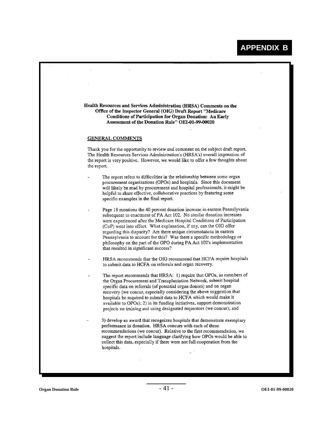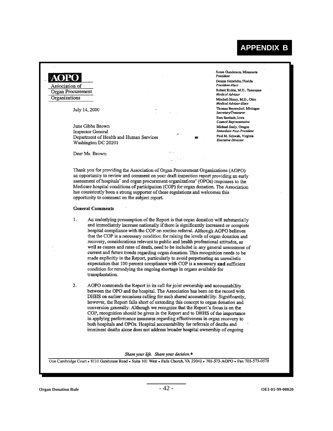## **APPENDIX B**

# **AORO**

Association of Organ Procurement Organizations

July 14, 2000

June Gibbs Brown **Inspector General** Department of Health and Human Services Washington DC 20201

Dear Ms. Brown:

Susan Gunderson, Minnesota President Dennis Heinrichs, Florida President-Elect Robert Richie, M.D., Tennessee Medical Advisor Mitchell Henry, M.D., Ohio Medical Advisor Elect Thomas Beyersdorf, Michigan Secretary/Treasurer Ewa Bardach, Iowa Council Representative Michael Seely, Oregon Immediate Past-President Paul M. Schwab, Virginia **Executive Director** 

Thank you for providing the Association of Organ Procurement Organizations (AOPO) an opportunity to review and comment on your draft inspection report providing an early assessment of hospitals' and organ procurement organizations' (OPOs) responses to the Medicare hospital conditions of participation (COP) for organ donation. The Association has consistently been a strong supporter of these regulations and welcomes this opportunity to comment on the subject report.

#### **General Comments**

 $\mathbf{1}$ . An underlying presumption of the Report is that organ donation will substantially and immediately increase nationally if there is significantly increased or complete hospital compliance with the COP on routine referral. Although AOPO believes that the COP is a necessary condition for raising the levels of organ donation and recovery, considerations relevant to public and health professional attitudes, as well as causes and rates of death, need to be included in any general assessment of current and future trends regarding organ donation. This recognition needs to be made explicitly in the Report, particularly to avoid perpetuating an unrealistic expectation that 100 percent compliance with COP is a necessary and sufficient condition for remedying the ongoing shortage in organs available for transplantation.

 $2.$ AOPO commends the Report in its call for joint ownership and accountability between the OPO and the hospital. The Association has been on the record with DHHS on earlier occasions calling for such shared accountability. Significantly, however, the Report falls short of extending this concept to organ donation and conversion generally. Although we recognize that the Report's focus is on the COP, recognition should be given in the Report and to DHHS of the importance in applying performance measures regarding effectiveness in organ recovery to both hospitals and OPOs. Hospital accountability for referrals of deaths and imminent deaths alone does not address broader hospital ownership of ongoing

Share your life. Share your decision.<sup>®</sup>

One Cambridge Court . 8110 Gatehouse Road . Suite 101 West . Falls Church, VA 22042 . 703-573-AOPO . Fax 703-573-0578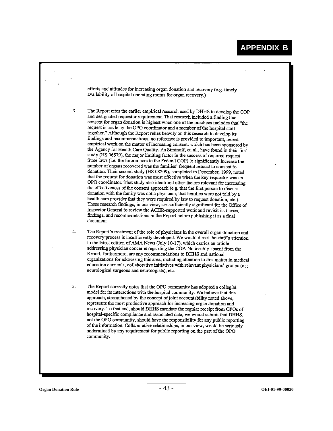|    | efforts and attitudes for increasing organ donation and recovery (e.g. timely<br>availability of hospital operating rooms for organ recovery.)                                                                                                                                                                                                                                                                                                                                                                                                                                                                                                                                                                                                                                                                                                                                                                                                                                                                                                                                                                                                                                                                                                                                                                                                                                                                                                                                                                                                                                                                                                                                                                       |
|----|----------------------------------------------------------------------------------------------------------------------------------------------------------------------------------------------------------------------------------------------------------------------------------------------------------------------------------------------------------------------------------------------------------------------------------------------------------------------------------------------------------------------------------------------------------------------------------------------------------------------------------------------------------------------------------------------------------------------------------------------------------------------------------------------------------------------------------------------------------------------------------------------------------------------------------------------------------------------------------------------------------------------------------------------------------------------------------------------------------------------------------------------------------------------------------------------------------------------------------------------------------------------------------------------------------------------------------------------------------------------------------------------------------------------------------------------------------------------------------------------------------------------------------------------------------------------------------------------------------------------------------------------------------------------------------------------------------------------|
| 3. | The Report cites the earlier empirical research used by DHHS to develop the COP<br>and designated requestor requirement. That research included a finding that<br>consent for organ donation is highest when one of the practices includes that "the<br>request is made by the OPO coordinator and a member of the hospital staff<br>together." Although the Report relies heavily on this research to develop its<br>findings and recommendations, no reference is provided to important, recent<br>empirical work on the matter of increasing consent, which has been sponsored by<br>the Agency for Health Care Quality. As Siminoff, et. al., have found in their first<br>study (HS 06579), the major limiting factor in the success of required request<br>State laws (i.e. the forerunners to the Federal COP) to significantly increase the<br>number of organs recovered was the families' frequent refusal to consent to<br>donation. Their second study (HS 08209), completed in December, 1999, noted<br>that the request for donation was most effective when the key requestor was an<br>OPO coordinator. That study also identified other factors relevant for increasing<br>the effectiveness of the consent approach (e.g. that the first person to discuss<br>donation with the family was not a physician; that families were not told by a<br>health care provider that they were required by law to request donation, etc.).<br>These research findings, in our view, are sufficiently significant for the Office of<br>Inspector General to review the ACHR-supported work and revisit its theses,<br>findings, and recommendations in the Report before publishing it as a final<br>document. |
| 4. | The Report's treatment of the role of physicians in the overall organ donation and<br>recovery process is insufficiently developed. We would direct the staff's attention<br>to the latest edition of AMA News (July 10-17), which carries an article<br>addressing physician concerns regarding the COP. Noticeably absent from the<br>Report, furthermore, are any recommendations to DHHS and national<br>organizations for addressing this area, including attention to this matter in medical<br>education curricula, collaborative initiatives with relevant physicians' groups (e.g.<br>neurological surgeons and neurologists), etc.                                                                                                                                                                                                                                                                                                                                                                                                                                                                                                                                                                                                                                                                                                                                                                                                                                                                                                                                                                                                                                                                         |
| 5. | The Report correctly notes that the OPO community has adopted a collegial<br>model for its interactions with the hospital community. We believe that this<br>approach, strengthened by the concept of joint accountability noted above,<br>represents the most productive approach for increasing organ donation and<br>recovery. To that end, should DHHS mandate the regular receipt from OPOs of<br>hospital-specific compliance and associated data, we would submit that DHHS,<br>not the OPO community, should have the responsibility for any public reporting<br>of the information. Collaborative relationships, in our view, would be seriously<br>undermined by any requirement for public reporting on the part of the OPO<br>community.                                                                                                                                                                                                                                                                                                                                                                                                                                                                                                                                                                                                                                                                                                                                                                                                                                                                                                                                                                 |
|    |                                                                                                                                                                                                                                                                                                                                                                                                                                                                                                                                                                                                                                                                                                                                                                                                                                                                                                                                                                                                                                                                                                                                                                                                                                                                                                                                                                                                                                                                                                                                                                                                                                                                                                                      |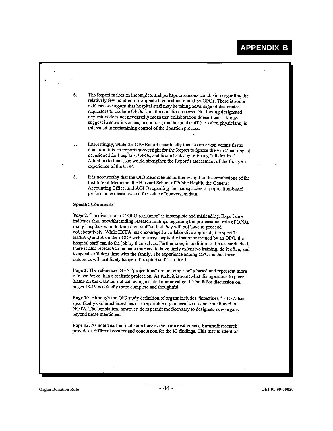The Report makes an incomplete and perhaps erroneous conclusion regarding the 6. relatively few number of designated requestors trained by OPOs. There is some evidence to suggest that hospital staff may be taking advantage of designated requestors to exclude OPOs from the donation process. Not having designated requestors does not necessarily mean that collaboration doesn't exist. It may suggest in some instances, in contrast, that hospital staff (i.e. often physicians) is interested in maintaining control of the donation process. 7. Interestingly, while the OIG Report specifically focuses on organ versus tissue donation, it is an important oversight for the Report to ignore the workload impact occasioned for hospitals, OPOs, and tissue banks by referring "all deaths." Attention to this issue would strengthen the Report's assessment of the first year experience of the COP. 8. It is noteworthy that the OIG Report lends further weight to the conclusions of the Institute of Medicine, the Harvard School of Public Health, the General Accounting Office, and AOPO regarding the inadequacies of population-based performance measures and the value of conversion data. **Specific Comments** Page 2. The discussion of "OPO resistance" is incomplete and misleading. Experience indicates that, notwithstanding research findings regarding the professional role of OPOs, many hospitals want to train their staff so that they will not have to proceed collaboratively. While HCFA has encouraged a collaborative approach, the specific HCFA Q and A on their COP web site says explicitly that once trained by an OPO, the hospital staff can do the job by themselves. Furthermore, in addition to the research cited. there is also research to indicate the need to have fairly extensive training, do it often, and to spend sufficient time with the family. The experience among OPOs is that these outcomes will not likely happen if hospital staff is trained. Page 2. The referenced HHS "projections" are not empirically based and represent more of a challenge than a realistic projection. As such, it is somewhat disingenuous to place blame on the COP for not achieving a stated numerical goal. The fuller discussion on pages 18-19 is actually more complete and thoughtful. Page 10. Although the OIG study definition of organs includes "intestines," HCFA has specifically excluded intestines as a reportable organ because it is not mentioned in NOTA. The legislation, however, does permit the Secretary to designate new organs beyond those mentioned. Page 13. As noted earlier, inclusion here of the earlier referenced Siminoff research provides a different context and conclusion for the IG findings. This merits attention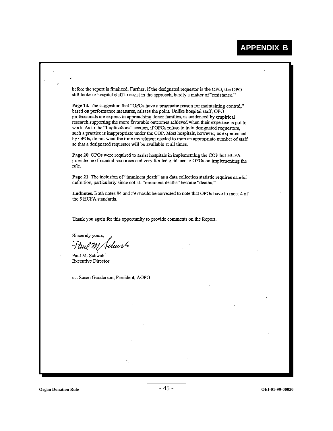before the report is finalized. Further, if the designated requestor is the OPO, the OPO still looks to hospital staff to assist in the approach, hardly a matter of "resistance,"

Page 14. The suggestion that "OPOs have a pragmatic reason for maintaining control." based on performance measures, misses the point. Unlike hospital staff, OPO professionals are experts in approaching donor families, as evidenced by empirical research supporting the more favorable outcomes achieved when their expertise is put to work. As to the "Implications" section, if OPOs refuse to train designated requestors, such a practice is inappropriate under the COP. Most hospitals, however, as experienced by OPOs, do not want the time investment needed to train an appropriate number of staff so that a designated requestor will be available at all times.

Page 20. OPOs were required to assist hospitals in implementing the COP but HCFA provided no financial resources and very limited guidance to OPOs on implementing the rule.

Page 21. The inclusion of "imminent death" as a data collection statistic requires careful definition, particularly since not all "imminent deaths" become "deaths."

Endnotes. Both notes #4 and #9 should be corrected to note that OPOs have to meet 4 of the 5 HCFA standards.

Thank you again for this opportunity to provide comments on the Report.

Sincerely yours,

dun!

Paul M. Schwab **Executive Director** 

cc. Susan Gunderson, President, AOPO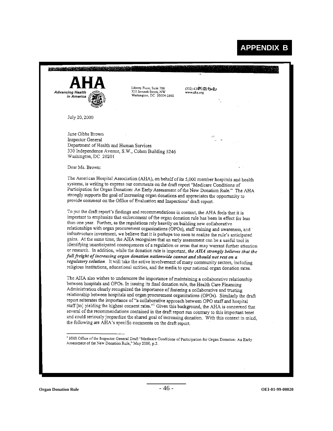**APPENDIX B** 

| July 20, 2000<br>June Gibbs Brown<br>⇔<br>Inspector General<br>Department of Health and Human Services<br>330 Independence Avenue, S.W., Cohen Building 5246<br>Washington, DC 20201<br>Dear Ms. Brown:<br>The American Hospital Association (AHA), on behalf of its 5,000 member hospitals and health<br>systems, is writing to express our comments on the draft report "Medicare Conditions of<br>Participation for Organ Donation: An Early Assessment of the New Donation Rule." The AHA<br>strongly supports the goal of increasing organ donations and appreciates the opportunity to<br>provide comment on the Office of Evaluation and Inspections' draft report.<br>To put the draft report's findings and recommendations in context, the AHA feels that it is<br>important to emphasize that enforcement of the organ donation rule has been in effect for less<br>than one year. Further, as the regulations rely heavily on building new collaborative<br>relationships with organ procurement organizations (OPOs), staff training and awareness, and<br>infrastructure investment, we believe that it is perhaps too soon to realize the rule's anticipated<br>gains. At the same time, the AHA recognizes that an early assessment can be a useful tool in<br>identifying unanticipated consequences of a regulation or areas that may warrant further attention<br>or research. In addition, while the donation rule is important, the AHA strongly believes that the<br>full freight of increasing organ donation nationwide cannot and should not rest on a<br>regulatory solution. It will take the active involvement of many community sectors, including<br>religious institutions, educational entities, and the media to spur national organ donation rates.<br>The AHA also wishes to underscore the importance of maintaining a collaborative relationship<br>between hospitals and OPOs. In issuing its final donation rule, the Health Care Financing<br>Administration clearly recognized the importance of fostering a collaborative and trusting<br>relationship between hospitals and organ procurement organizations (OPOs). Similarly the draft<br>report reiterates the importance of "a collaborative approach between OPO staff and hospital<br>staff [to] yielding the highest consent rates." <sup>1</sup> Given this background, the AHA is concerned that<br>several of the recommendations contained in the draft report run contrary to this important tenet<br>and could seriously jeopardize the shared goal of increasing donation. With this context in mind,<br>the following are AHA's specific comments on the draft report. | <b>Advancing Health</b><br>in America | Liberty Place, Suite 700<br>325 Seventh Street, NW<br>Washington, DC 20004-2802 | (202) 638 100 Phone<br>www.aha.org |
|----------------------------------------------------------------------------------------------------------------------------------------------------------------------------------------------------------------------------------------------------------------------------------------------------------------------------------------------------------------------------------------------------------------------------------------------------------------------------------------------------------------------------------------------------------------------------------------------------------------------------------------------------------------------------------------------------------------------------------------------------------------------------------------------------------------------------------------------------------------------------------------------------------------------------------------------------------------------------------------------------------------------------------------------------------------------------------------------------------------------------------------------------------------------------------------------------------------------------------------------------------------------------------------------------------------------------------------------------------------------------------------------------------------------------------------------------------------------------------------------------------------------------------------------------------------------------------------------------------------------------------------------------------------------------------------------------------------------------------------------------------------------------------------------------------------------------------------------------------------------------------------------------------------------------------------------------------------------------------------------------------------------------------------------------------------------------------------------------------------------------------------------------------------------------------------------------------------------------------------------------------------------------------------------------------------------------------------------------------------------------------------------------------------------------------------------------------------------------------------------------------------------------------------------------------------------------------------------------------------------------------------------------------------------------------|---------------------------------------|---------------------------------------------------------------------------------|------------------------------------|
|                                                                                                                                                                                                                                                                                                                                                                                                                                                                                                                                                                                                                                                                                                                                                                                                                                                                                                                                                                                                                                                                                                                                                                                                                                                                                                                                                                                                                                                                                                                                                                                                                                                                                                                                                                                                                                                                                                                                                                                                                                                                                                                                                                                                                                                                                                                                                                                                                                                                                                                                                                                                                                                                                  |                                       |                                                                                 |                                    |
|                                                                                                                                                                                                                                                                                                                                                                                                                                                                                                                                                                                                                                                                                                                                                                                                                                                                                                                                                                                                                                                                                                                                                                                                                                                                                                                                                                                                                                                                                                                                                                                                                                                                                                                                                                                                                                                                                                                                                                                                                                                                                                                                                                                                                                                                                                                                                                                                                                                                                                                                                                                                                                                                                  |                                       |                                                                                 |                                    |
|                                                                                                                                                                                                                                                                                                                                                                                                                                                                                                                                                                                                                                                                                                                                                                                                                                                                                                                                                                                                                                                                                                                                                                                                                                                                                                                                                                                                                                                                                                                                                                                                                                                                                                                                                                                                                                                                                                                                                                                                                                                                                                                                                                                                                                                                                                                                                                                                                                                                                                                                                                                                                                                                                  |                                       |                                                                                 |                                    |
|                                                                                                                                                                                                                                                                                                                                                                                                                                                                                                                                                                                                                                                                                                                                                                                                                                                                                                                                                                                                                                                                                                                                                                                                                                                                                                                                                                                                                                                                                                                                                                                                                                                                                                                                                                                                                                                                                                                                                                                                                                                                                                                                                                                                                                                                                                                                                                                                                                                                                                                                                                                                                                                                                  |                                       |                                                                                 |                                    |
|                                                                                                                                                                                                                                                                                                                                                                                                                                                                                                                                                                                                                                                                                                                                                                                                                                                                                                                                                                                                                                                                                                                                                                                                                                                                                                                                                                                                                                                                                                                                                                                                                                                                                                                                                                                                                                                                                                                                                                                                                                                                                                                                                                                                                                                                                                                                                                                                                                                                                                                                                                                                                                                                                  |                                       |                                                                                 |                                    |
|                                                                                                                                                                                                                                                                                                                                                                                                                                                                                                                                                                                                                                                                                                                                                                                                                                                                                                                                                                                                                                                                                                                                                                                                                                                                                                                                                                                                                                                                                                                                                                                                                                                                                                                                                                                                                                                                                                                                                                                                                                                                                                                                                                                                                                                                                                                                                                                                                                                                                                                                                                                                                                                                                  |                                       |                                                                                 |                                    |
|                                                                                                                                                                                                                                                                                                                                                                                                                                                                                                                                                                                                                                                                                                                                                                                                                                                                                                                                                                                                                                                                                                                                                                                                                                                                                                                                                                                                                                                                                                                                                                                                                                                                                                                                                                                                                                                                                                                                                                                                                                                                                                                                                                                                                                                                                                                                                                                                                                                                                                                                                                                                                                                                                  |                                       |                                                                                 |                                    |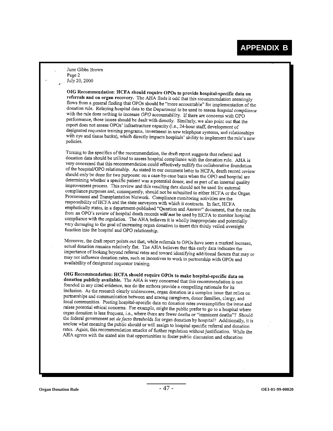## **APPENDIX B**

June Gibbs Brown Page 2 July 20, 2000

OIG Recommendation: HCFA should require OPOs to provide hospital-specific data on referrals and on organ recovery. The AHA finds it odd that this recommendation seemingly flows from a general finding that OPOs should be "more accountable" for implementation of the donation rule. Relaying hospital data to the Department to be used to assess *hospital compliance* with the rule does nothing to increase OPO accountability. If there are concerns with OPO performance, those issues should be dealt with directly. Similarly, we also point out that the report does not assess OPOs' infrastructure capacity (i.e., 24-hour staff, development of report does not assess of os initial and the capacity (i.e., 24-nour start, development of<br>designated requestor training programs, investment in new telephone systems, and relationships being the contract to distinct the programs, investment in new telephone systems, and relationships<br>which directly impacts hospitals' ability to implement the rule's new<br>politicial policies.

Turning to the specifics of the recommendation, the draft report suggests that referral and discussion of the experimental compliance with the donation rule. AHA is<br>donation data should be utilized to assess hospital compliance with the donation rule. AHA is very concerned that this recommendation could effectively nullify the collaborative foundation of the hospital/OPO relationship. As stated in our comment letter to HCFA, death record review should only be done for two purposes: on a case-by-case basis when the OPO and hospital are determining whether a specific patient was a potential donor, and as part of an internal quality improvement process. This review and this resulting data should not be used for external employed in process. This review and this resulting data should not be used for external<br>compliance purposes and, consequently, should not be submitted to either HCFA or the Organ Procurement and Transplantation Network. Compliance monitoring activities are the responsibility of HCFA and the state surveyors with which it contracts. In fact, HCFA responsibility states, in a department-published "Question and Answer" document, that the results<br>emphatically states, in a department-published "Question and Answer" document, that the results from an OPO's review of hospital death records will not be used by HCFA to monitor hospital<br>from an OPO's review of hospital death records will not be used by HCFA to monitor hospital compliance with the regulation. The AHA believes it is wholly inappropriate and potentially very damaging to the goal of increasing organ donation to insert this thinly veiled oversight function into the hospital and OPO relationship.

Moreover, the draft report points out that, while referrals to OPOs have seen a marked increase, actual donation remains relatively flat. The AHA believes that this early data indicates the importance of looking beyond referral rates and toward identifying additional factors that may or<br>moving influence of looking beyond referral rates and toward identifying additional factors that may or the permitted of rooking objects that rates and toward identifying additional factors that may not influence donation rates, such as incentives to work in partnership with OPOs and availability of designated requestor training.

OIG Recommendation: HCFA should require OPOs to make hospital-specific data on donation publicly available. The AHA is very concerned that this recommendation is not<br>founded in any ideal and the AHA is very concerned that this recommendation is not founded in any cited evidence, nor do the authors provide a compelling rationale for its inclusion. As the research clearly underscores, organ donation is a completing rationale for its<br>nothing on a street clearly underscores, organ donation is a complex issue that relies on partnerships and communication between and among caregivers, donor families, clergy, and local communities. Posting hospital specific data on donation rates oversimplifies the issue and raises potential ethical concerns. For example, might the public prefer to go to a hospital where<br>raises potential ethical concerns. For example, might the public prefer to go to a hospital where For position is less frequent, i.e., where there are fewer deaths or "imminent deaths"? Should<br>the form donation is less frequent, i.e., where there are fewer deaths or "imminent deaths"? Should the federal government set *de facto* thresholds for organ donation by hospital? Additionally, it is unclear what meaning the public should or will assign to hospital specific referral and donation<br>rates. A gain this recommendation and will assign to hospital specific referral and donation rates. Again, this recommendation smacks of further regulation without justification. While the AHA agrees with the stated aim that opportunities to foster public discussion and education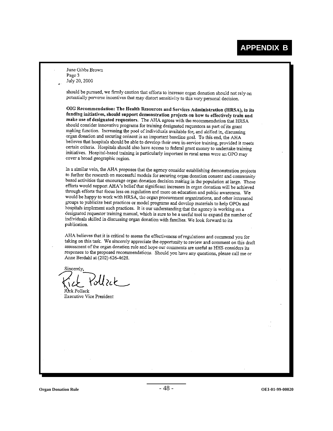June Gibbs Brown Page 3 July 20, 2000

should be pursued, we firmly caution that efforts to increase organ donation should not rely on potentially perverse incentives that may distort sensitivity to this very personal decision.

OIG Recommendation: The Health Resources and Services Administration (HRSA), in its funding initiatives, should support demonstration projects on how to effectively train and make use of designated requestors. The AHA agrees with the recommendation that HRSA should consider innovative programs for training designated requestors as part of its grant making function. Increasing the pool of individuals available for, and skilled in, discussing organ donation and securing consent is an important baseline goal. To this end, the AHA believes that hospitals should be able to develop their own in-service training, provided it meets certain criteria. Hospitals should also have access to federal grant money to undertake training initiatives. Hospital-based training is particularly important in rural areas were an OPO may cover a broad geographic region.

In a similar vein, the AHA proposes that the agency consider establishing demonstration projects to further the research on successful models for securing organ donation consent and community based activities that encourage organ donation decision making in the population at large. These efforts would support AHA's belief that significant increases in organ donation will be achieved through efforts that focus less on regulation and more on education and public awareness. We would be happy to work with HRSA, the organ procurement organizations, and other interested groups to publicize best practices or model programs and develop materials to help OPOs and hospitals implement such practices. It is our understanding that the agency is working on a designated requestor training manual, which is sure to be a useful tool to expand the number of individuals skilled in discussing organ donation with families. We look forward to its publication.

AHA believes that it is critical to assess the effectiveness of regulations and commend you for taking on this task. We sincerely appreciate the opportunity to review and comment on this draft assessment of the organ donation rule and hope our comments are useful as HHS considers its responses to the proposed recommendations. Should you have any questions, please call me or Anne Berdahl at (202) 626-4628.

Sincerely  $\%$ Uzck

Rick Pollack **Executive Vice President** 

**Organ Donation Rule** - 48 - **OEI-01-99-00020**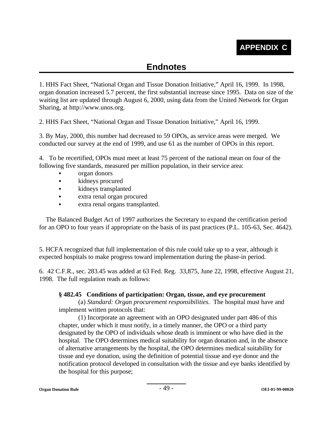# **Endnotes**

1. HHS Fact Sheet, "National Organ and Tissue Donation Initiative," April 16, 1999. In 1998, organ donation increased 5.7 percent, the first substantial increase since 1995. Data on size of the waiting list are updated through August 6, 2000, using data from the United Network for Organ Sharing, at http://www.unos.org.

2. HHS Fact Sheet, "National Organ and Tissue Donation Initiative," April 16, 1999.

3. By May, 2000, this number had decreased to 59 OPOs, as service areas were merged. We conducted our survey at the end of 1999, and use 61 as the number of OPOs in this report.

4. To be recertified, OPOs must meet at least 75 percent of the national mean on four of the following five standards, measured per million population, in their service area:

- organ donors
- kidneys procured
- kidneys transplanted
- extra renal organ procured
- extra renal organs transplanted.

The Balanced Budget Act of 1997 authorizes the Secretary to expand the certification period for an OPO to four years if appropriate on the basis of its past practices (P.L. 105-63, Sec. 4642).

5. HCFA recognized that full implementation of this rule could take up to a year, although it expected hospitals to make progress toward implementation during the phase-in period.

6. 42 C.F.R., sec. 283.45 was added at 63 Fed. Reg. 33,875, June 22, 1998, effective August 21, 1998. The full regulation reads as follows:

#### **§ 482.45 Conditions of participation: Organ, tissue, and eye procurement**

(a) *Standard: Organ procurement responsibilities.* The hospital must have and implement written protocols that:

(1) Incorporate an agreement with an OPO designated under part 486 of this chapter, under which it must notify, in a timely manner, the OPO or a third party designated by the OPO of individuals whose death is imminent or who have died in the hospital. The OPO determines medical suitability for organ donation and, in the absence of alternative arrangements by the hospital, the OPO determines medical suitability for tissue and eye donation, using the definition of potential tissue and eye donor and the notification protocol developed in consultation with the tissue and eye banks identified by the hospital for this purpose;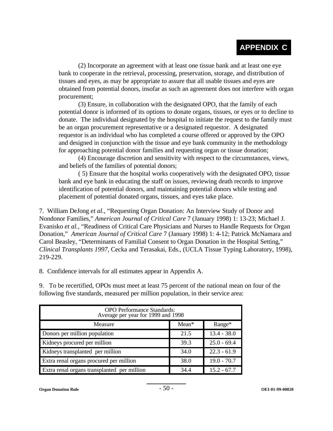# **APPENDIX C**

(2) Incorporate an agreement with at least one tissue bank and at least one eye bank to cooperate in the retrieval, processing, preservation, storage, and distribution of tissues and eyes, as may be appropriate to assure that all usable tissues and eyes are obtained from potential donors, insofar as such an agreement does not interfere with organ procurement;

(3) Ensure, in collaboration with the designated OPO, that the family of each potential donor is informed of its options to donate organs, tissues, or eyes or to decline to donate. The individual designated by the hospital to initiate the request to the family must be an organ procurement representative or a designated requestor. A designated requestor is an individual who has completed a course offered or approved by the OPO and designed in conjunction with the tissue and eye bank community in the methodology for approaching potential donor families and requesting organ or tissue donation;

(4) Encourage discretion and sensitivity with respect to the circumstances, views, and beliefs of the families of potential donors;

( 5) Ensure that the hospital works cooperatively with the designated OPO, tissue bank and eye bank in educating the staff on issues, reviewing death records to improve identification of potential donors, and maintaining potential donors while testing and placement of potential donated organs, tissues, and eyes take place.

7. William DeJong *et al.*, "Requesting Organ Donation: An Interview Study of Donor and Nondonor Families," *American Journal of Critical Care* 7 (January 1998) 1: 13-23; Michael J. Evanisko *et al.*, "Readiness of Critical Care Physicians and Nurses to Handle Requests for Organ Donation," *American Journal of Critical Care* 7 (January 1998) 1: 4-12; Patrick McNamara and Carol Beasley, "Determinants of Familial Consent to Organ Donation in the Hospital Setting," *Clinical Transplants 1997*, Cecka and Terasakai, Eds., (UCLA Tissue Typing Laboratory, 1998), 219-229.

8. Confidence intervals for all estimates appear in Appendix A.

9. To be recertified, OPOs must meet at least 75 percent of the national mean on four of the following five standards, measured per million population, in their service area:

| <b>OPO</b> Performance Standards:<br>Average per year for 1999 and 1998 |         |               |  |  |  |
|-------------------------------------------------------------------------|---------|---------------|--|--|--|
| Measure                                                                 | $Mean*$ | $Range^*$     |  |  |  |
| Donors per million population                                           | 21.5    | $13.4 - 38.0$ |  |  |  |
| Kidneys procured per million                                            | 39.3    | $25.0 - 69.4$ |  |  |  |
| Kidneys transplanted per million                                        | 34.0    | $22.3 - 61.9$ |  |  |  |
| Extra renal organs procured per million                                 | 38.0    | $19.0 - 70.7$ |  |  |  |
| Extra renal organs transplanted per million                             | 34.4    | $15.2 - 67.7$ |  |  |  |

**Organ Donation Rule** - 50 - **OEI-01-99-00020**